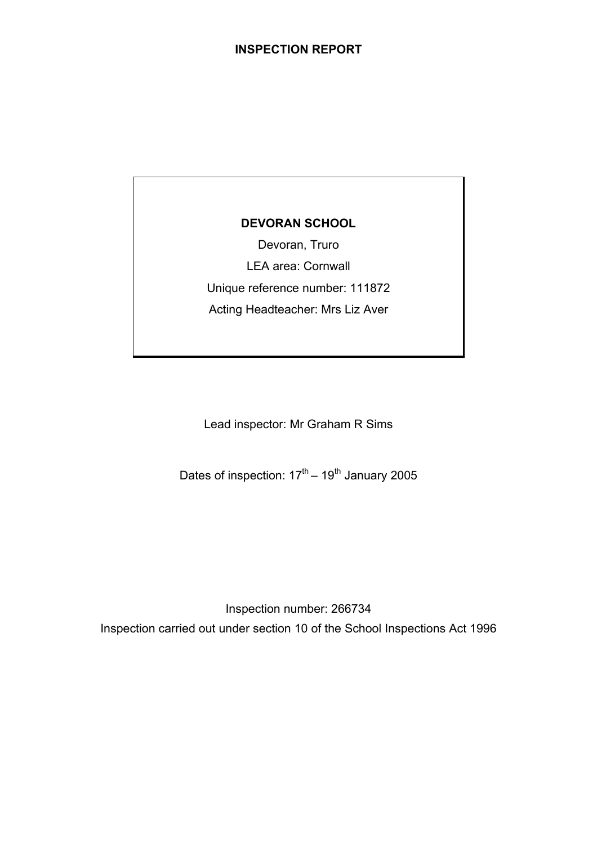# **DEVORAN SCHOOL**

Devoran, Truro LEA area: Cornwall Unique reference number: 111872 Acting Headteacher: Mrs Liz Aver

Lead inspector: Mr Graham R Sims

Dates of inspection:  $17<sup>th</sup> - 19<sup>th</sup>$  January 2005

Inspection number: 266734 Inspection carried out under section 10 of the School Inspections Act 1996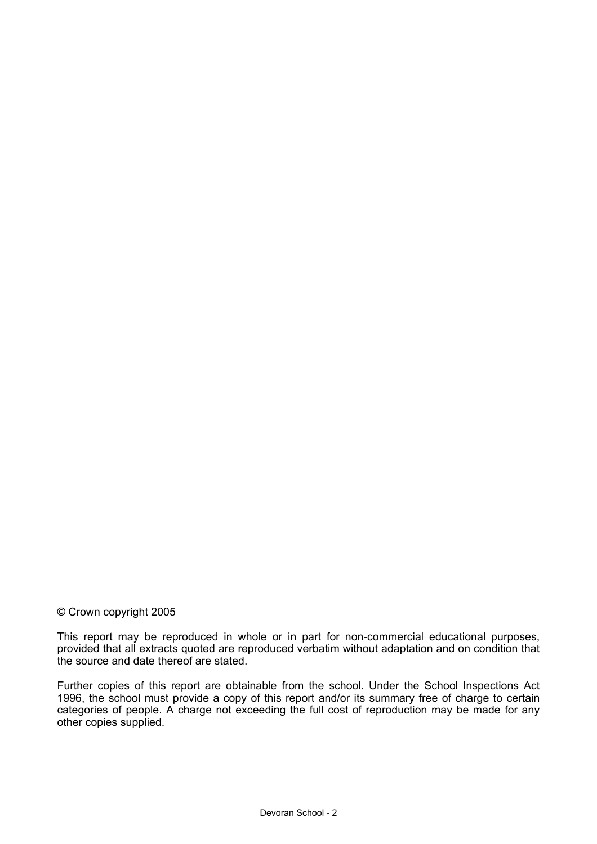### © Crown copyright 2005

This report may be reproduced in whole or in part for non-commercial educational purposes, provided that all extracts quoted are reproduced verbatim without adaptation and on condition that the source and date thereof are stated.

Further copies of this report are obtainable from the school. Under the School Inspections Act 1996, the school must provide a copy of this report and/or its summary free of charge to certain categories of people. A charge not exceeding the full cost of reproduction may be made for any other copies supplied.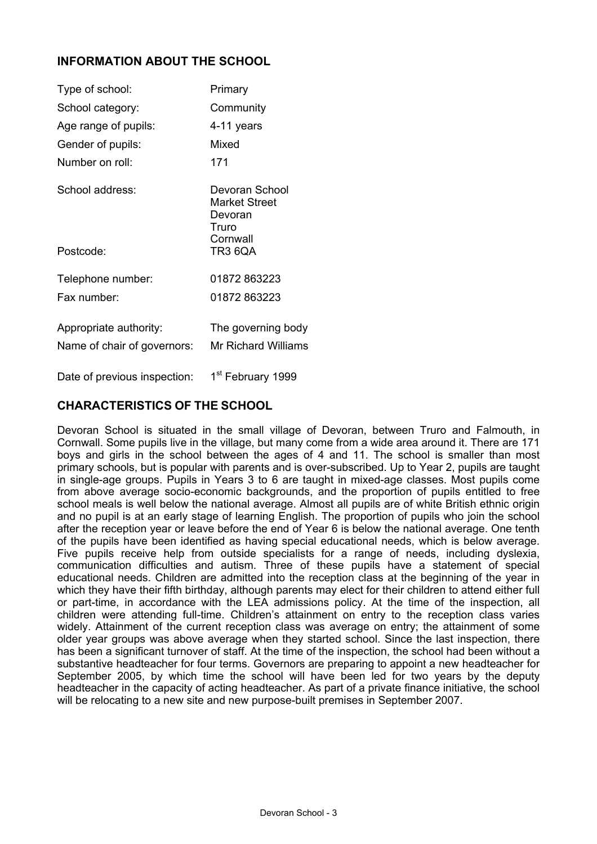# **INFORMATION ABOUT THE SCHOOL**

| Type of school:                                       | Primary                                                                    |
|-------------------------------------------------------|----------------------------------------------------------------------------|
| School category:                                      | Community                                                                  |
| Age range of pupils:                                  | 4-11 years                                                                 |
| Gender of pupils:                                     | Mixed                                                                      |
| Number on roll:                                       | 171                                                                        |
| School address:<br>Postcode:                          | Devoran School<br>Market Street<br>Devoran<br>Truro<br>Cornwall<br>TR3 6QA |
|                                                       |                                                                            |
| Telephone number:                                     | 01872 863223                                                               |
| Fax number:                                           | 01872863223                                                                |
| Appropriate authority:<br>Name of chair of governors: | The governing body<br>Mr Richard Williams                                  |

Date of previous inspection: 1<sup>st</sup> February 1999

# **CHARACTERISTICS OF THE SCHOOL**

Devoran School is situated in the small village of Devoran, between Truro and Falmouth, in Cornwall. Some pupils live in the village, but many come from a wide area around it. There are 171 boys and girls in the school between the ages of 4 and 11. The school is smaller than most primary schools, but is popular with parents and is over-subscribed. Up to Year 2, pupils are taught in single-age groups. Pupils in Years 3 to 6 are taught in mixed-age classes. Most pupils come from above average socio-economic backgrounds, and the proportion of pupils entitled to free school meals is well below the national average. Almost all pupils are of white British ethnic origin and no pupil is at an early stage of learning English. The proportion of pupils who join the school after the reception year or leave before the end of Year 6 is below the national average. One tenth of the pupils have been identified as having special educational needs, which is below average. Five pupils receive help from outside specialists for a range of needs, including dyslexia, communication difficulties and autism. Three of these pupils have a statement of special educational needs. Children are admitted into the reception class at the beginning of the year in which they have their fifth birthday, although parents may elect for their children to attend either full or part-time, in accordance with the LEA admissions policy. At the time of the inspection, all children were attending full-time. Children's attainment on entry to the reception class varies widely. Attainment of the current reception class was average on entry; the attainment of some older year groups was above average when they started school. Since the last inspection, there has been a significant turnover of staff. At the time of the inspection, the school had been without a substantive headteacher for four terms. Governors are preparing to appoint a new headteacher for September 2005, by which time the school will have been led for two years by the deputy headteacher in the capacity of acting headteacher. As part of a private finance initiative, the school will be relocating to a new site and new purpose-built premises in September 2007.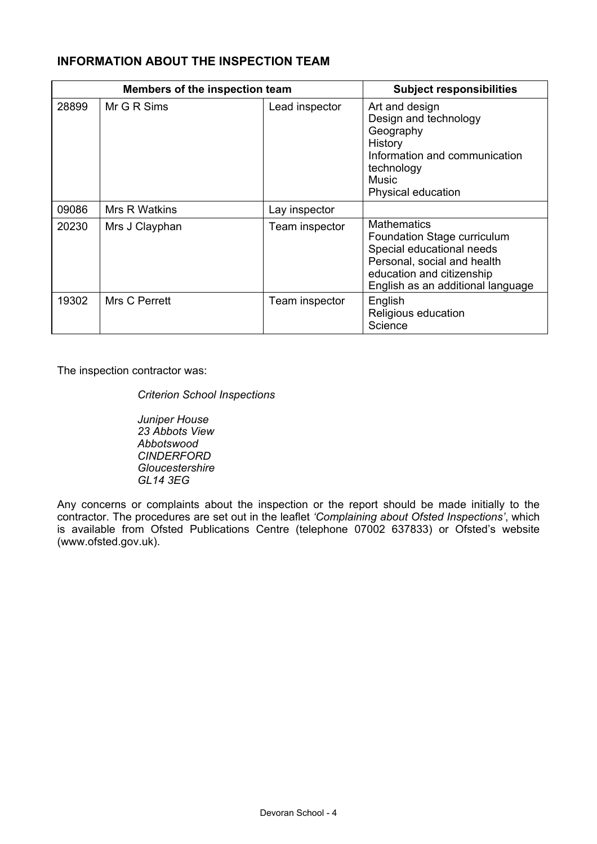# **INFORMATION ABOUT THE INSPECTION TEAM**

| Members of the inspection team |                | <b>Subject responsibilities</b> |                                                                                                                                                                                 |
|--------------------------------|----------------|---------------------------------|---------------------------------------------------------------------------------------------------------------------------------------------------------------------------------|
| 28899                          | Mr G R Sims    | Lead inspector                  | Art and design<br>Design and technology<br>Geography<br>History<br>Information and communication<br>technology<br>Music<br>Physical education                                   |
| 09086                          | Mrs R Watkins  | Lay inspector                   |                                                                                                                                                                                 |
| 20230                          | Mrs J Clayphan | Team inspector                  | <b>Mathematics</b><br>Foundation Stage curriculum<br>Special educational needs<br>Personal, social and health<br>education and citizenship<br>English as an additional language |
| 19302                          | Mrs C Perrett  | Team inspector                  | English<br>Religious education<br>Science                                                                                                                                       |

The inspection contractor was:

*Criterion School Inspections* 

*Juniper House 23 Abbots View Abbotswood CINDERFORD Gloucestershire GL14 3EG* 

Any concerns or complaints about the inspection or the report should be made initially to the contractor. The procedures are set out in the leaflet *'Complaining about Ofsted Inspections'*, which is available from Ofsted Publications Centre (telephone 07002 637833) or Ofsted's website (www.ofsted.gov.uk).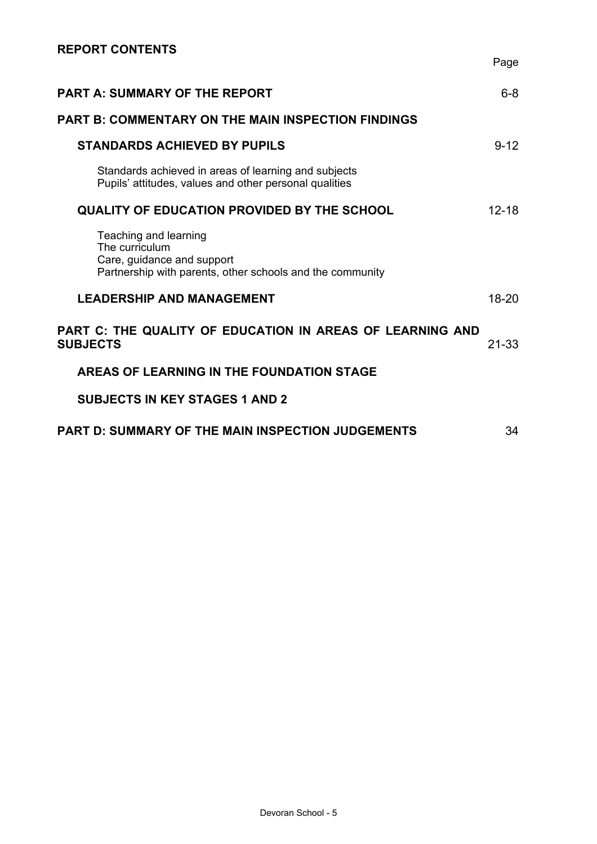| <b>PART A: SUMMARY OF THE REPORT</b>                                                                                               | 6-8       |
|------------------------------------------------------------------------------------------------------------------------------------|-----------|
| <b>PART B: COMMENTARY ON THE MAIN INSPECTION FINDINGS</b>                                                                          |           |
| <b>STANDARDS ACHIEVED BY PUPILS</b>                                                                                                | $9 - 12$  |
| Standards achieved in areas of learning and subjects<br>Pupils' attitudes, values and other personal qualities                     |           |
| <b>QUALITY OF EDUCATION PROVIDED BY THE SCHOOL</b>                                                                                 | $12 - 18$ |
| Teaching and learning<br>The curriculum<br>Care, guidance and support<br>Partnership with parents, other schools and the community |           |
| <b>LEADERSHIP AND MANAGEMENT</b>                                                                                                   | 18-20     |
| PART C: THE QUALITY OF EDUCATION IN AREAS OF LEARNING AND<br><b>SUBJECTS</b>                                                       | 21-33     |
| AREAS OF LEARNING IN THE FOUNDATION STAGE                                                                                          |           |
| <b>SUBJECTS IN KEY STAGES 1 AND 2</b>                                                                                              |           |
| <b>PART D: SUMMARY OF THE MAIN INSPECTION JUDGEMENTS</b>                                                                           | 34        |

Page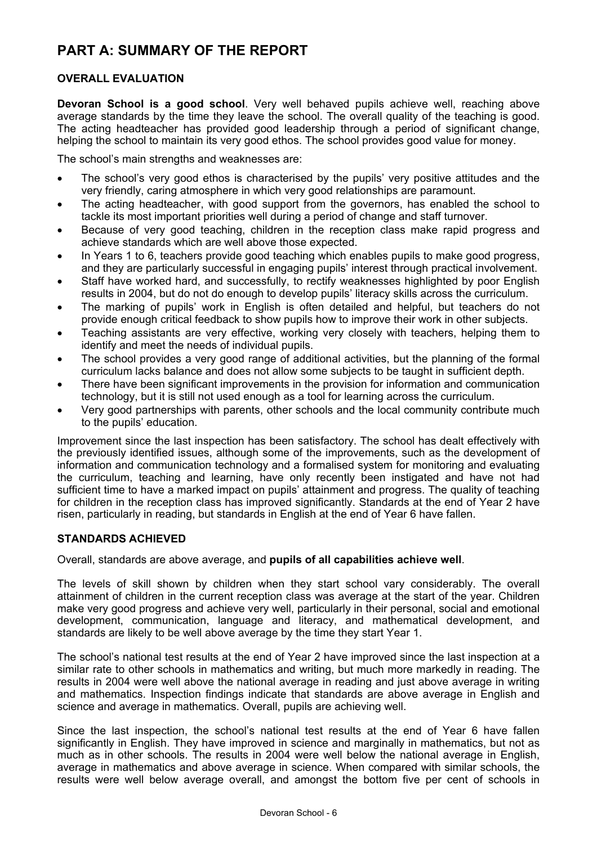# **PART A: SUMMARY OF THE REPORT**

## **OVERALL EVALUATION**

**Devoran School is a good school**. Very well behaved pupils achieve well, reaching above average standards by the time they leave the school. The overall quality of the teaching is good. The acting headteacher has provided good leadership through a period of significant change, helping the school to maintain its very good ethos. The school provides good value for money.

The school's main strengths and weaknesses are:

- The school's very good ethos is characterised by the pupils' very positive attitudes and the very friendly, caring atmosphere in which very good relationships are paramount.
- The acting headteacher, with good support from the governors, has enabled the school to tackle its most important priorities well during a period of change and staff turnover.
- Because of very good teaching, children in the reception class make rapid progress and achieve standards which are well above those expected.
- In Years 1 to 6, teachers provide good teaching which enables pupils to make good progress, and they are particularly successful in engaging pupils' interest through practical involvement.
- Staff have worked hard, and successfully, to rectify weaknesses highlighted by poor English results in 2004, but do not do enough to develop pupils' literacy skills across the curriculum.
- The marking of pupils' work in English is often detailed and helpful, but teachers do not provide enough critical feedback to show pupils how to improve their work in other subjects.
- Teaching assistants are very effective, working very closely with teachers, helping them to identify and meet the needs of individual pupils.
- The school provides a very good range of additional activities, but the planning of the formal curriculum lacks balance and does not allow some subjects to be taught in sufficient depth.
- There have been significant improvements in the provision for information and communication technology, but it is still not used enough as a tool for learning across the curriculum.
- Very good partnerships with parents, other schools and the local community contribute much to the pupils' education.

Improvement since the last inspection has been satisfactory. The school has dealt effectively with the previously identified issues, although some of the improvements, such as the development of information and communication technology and a formalised system for monitoring and evaluating the curriculum, teaching and learning, have only recently been instigated and have not had sufficient time to have a marked impact on pupils' attainment and progress. The quality of teaching for children in the reception class has improved significantly. Standards at the end of Year 2 have risen, particularly in reading, but standards in English at the end of Year 6 have fallen.

### **STANDARDS ACHIEVED**

Overall, standards are above average, and **pupils of all capabilities achieve well**.

The levels of skill shown by children when they start school vary considerably. The overall attainment of children in the current reception class was average at the start of the year. Children make very good progress and achieve very well, particularly in their personal, social and emotional development, communication, language and literacy, and mathematical development, and standards are likely to be well above average by the time they start Year 1.

The school's national test results at the end of Year 2 have improved since the last inspection at a similar rate to other schools in mathematics and writing, but much more markedly in reading. The results in 2004 were well above the national average in reading and just above average in writing and mathematics. Inspection findings indicate that standards are above average in English and science and average in mathematics. Overall, pupils are achieving well.

Since the last inspection, the school's national test results at the end of Year 6 have fallen significantly in English. They have improved in science and marginally in mathematics, but not as much as in other schools. The results in 2004 were well below the national average in English, average in mathematics and above average in science. When compared with similar schools, the results were well below average overall, and amongst the bottom five per cent of schools in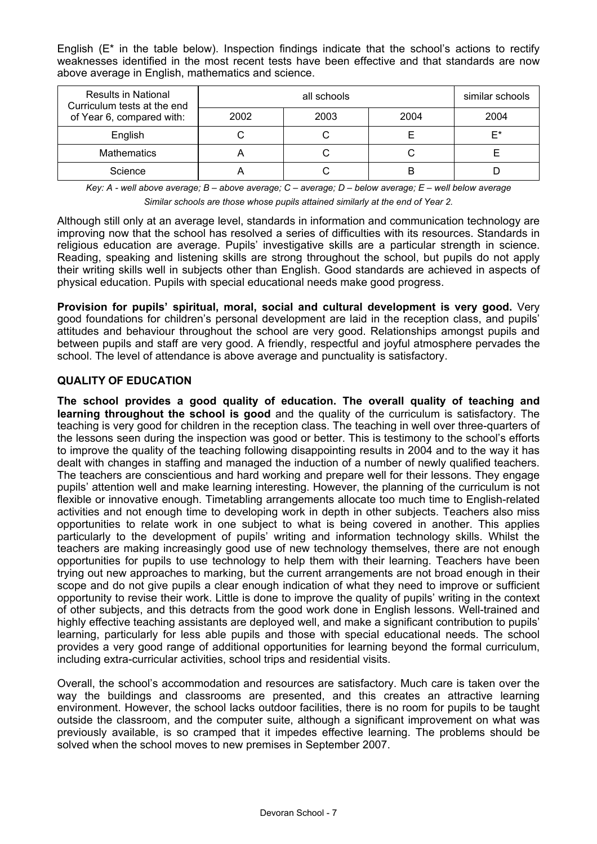English  $(E^*)$  in the table below). Inspection findings indicate that the school's actions to rectify weaknesses identified in the most recent tests have been effective and that standards are now above average in English, mathematics and science.

| <b>Results in National</b><br>Curriculum tests at the end |      | similar schools |    |
|-----------------------------------------------------------|------|-----------------|----|
| of Year 6, compared with:                                 | 2002 | 2004            |    |
| English                                                   |      |                 | F* |
| <b>Mathematics</b>                                        |      |                 |    |
| Science                                                   |      |                 |    |

*Key: A - well above average; B – above average; C – average; D – below average; E – well below average Similar schools are those whose pupils attained similarly at the end of Year 2.* 

Although still only at an average level, standards in information and communication technology are improving now that the school has resolved a series of difficulties with its resources. Standards in religious education are average. Pupils' investigative skills are a particular strength in science. Reading, speaking and listening skills are strong throughout the school, but pupils do not apply their writing skills well in subjects other than English. Good standards are achieved in aspects of physical education. Pupils with special educational needs make good progress.

**Provision for pupils' spiritual, moral, social and cultural development is very good.** Very good foundations for children's personal development are laid in the reception class, and pupils' attitudes and behaviour throughout the school are very good. Relationships amongst pupils and between pupils and staff are very good. A friendly, respectful and joyful atmosphere pervades the school. The level of attendance is above average and punctuality is satisfactory.

## **QUALITY OF EDUCATION**

**The school provides a good quality of education. The overall quality of teaching and learning throughout the school is good** and the quality of the curriculum is satisfactory. The teaching is very good for children in the reception class. The teaching in well over three-quarters of the lessons seen during the inspection was good or better. This is testimony to the school's efforts to improve the quality of the teaching following disappointing results in 2004 and to the way it has dealt with changes in staffing and managed the induction of a number of newly qualified teachers. The teachers are conscientious and hard working and prepare well for their lessons. They engage pupils' attention well and make learning interesting. However, the planning of the curriculum is not flexible or innovative enough. Timetabling arrangements allocate too much time to English-related activities and not enough time to developing work in depth in other subjects. Teachers also miss opportunities to relate work in one subject to what is being covered in another. This applies particularly to the development of pupils' writing and information technology skills. Whilst the teachers are making increasingly good use of new technology themselves, there are not enough opportunities for pupils to use technology to help them with their learning. Teachers have been trying out new approaches to marking, but the current arrangements are not broad enough in their scope and do not give pupils a clear enough indication of what they need to improve or sufficient opportunity to revise their work. Little is done to improve the quality of pupils' writing in the context of other subjects, and this detracts from the good work done in English lessons. Well-trained and highly effective teaching assistants are deployed well, and make a significant contribution to pupils' learning, particularly for less able pupils and those with special educational needs. The school provides a very good range of additional opportunities for learning beyond the formal curriculum, including extra-curricular activities, school trips and residential visits.

Overall, the school's accommodation and resources are satisfactory. Much care is taken over the way the buildings and classrooms are presented, and this creates an attractive learning environment. However, the school lacks outdoor facilities, there is no room for pupils to be taught outside the classroom, and the computer suite, although a significant improvement on what was previously available, is so cramped that it impedes effective learning. The problems should be solved when the school moves to new premises in September 2007.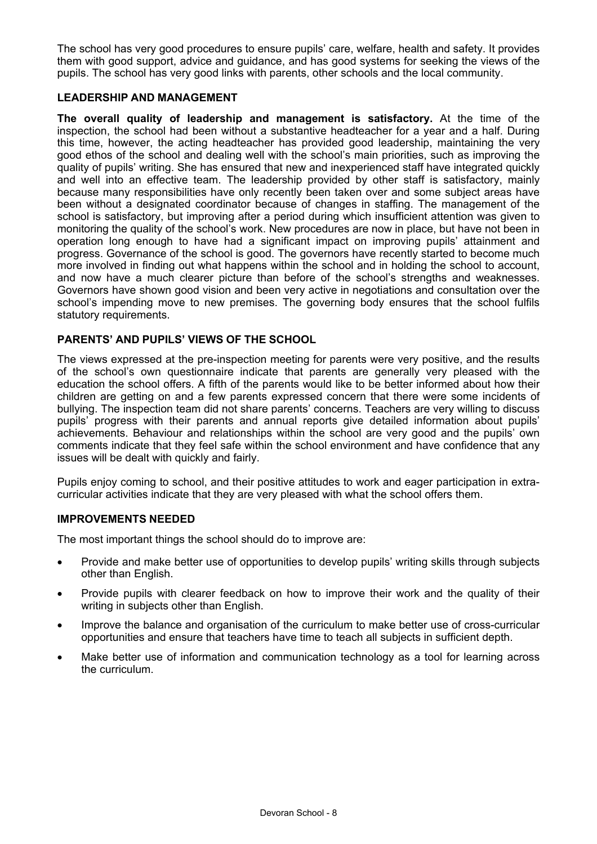The school has very good procedures to ensure pupils' care, welfare, health and safety. It provides them with good support, advice and guidance, and has good systems for seeking the views of the pupils. The school has very good links with parents, other schools and the local community.

### **LEADERSHIP AND MANAGEMENT**

**The overall quality of leadership and management is satisfactory.** At the time of the inspection, the school had been without a substantive headteacher for a year and a half. During this time, however, the acting headteacher has provided good leadership, maintaining the very good ethos of the school and dealing well with the school's main priorities, such as improving the quality of pupils' writing. She has ensured that new and inexperienced staff have integrated quickly and well into an effective team. The leadership provided by other staff is satisfactory, mainly because many responsibilities have only recently been taken over and some subject areas have been without a designated coordinator because of changes in staffing. The management of the school is satisfactory, but improving after a period during which insufficient attention was given to monitoring the quality of the school's work. New procedures are now in place, but have not been in operation long enough to have had a significant impact on improving pupils' attainment and progress. Governance of the school is good. The governors have recently started to become much more involved in finding out what happens within the school and in holding the school to account, and now have a much clearer picture than before of the school's strengths and weaknesses. Governors have shown good vision and been very active in negotiations and consultation over the school's impending move to new premises. The governing body ensures that the school fulfils statutory requirements.

### **PARENTS' AND PUPILS' VIEWS OF THE SCHOOL**

The views expressed at the pre-inspection meeting for parents were very positive, and the results of the school's own questionnaire indicate that parents are generally very pleased with the education the school offers. A fifth of the parents would like to be better informed about how their children are getting on and a few parents expressed concern that there were some incidents of bullying. The inspection team did not share parents' concerns. Teachers are very willing to discuss pupils' progress with their parents and annual reports give detailed information about pupils' achievements. Behaviour and relationships within the school are very good and the pupils' own comments indicate that they feel safe within the school environment and have confidence that any issues will be dealt with quickly and fairly.

Pupils enjoy coming to school, and their positive attitudes to work and eager participation in extracurricular activities indicate that they are very pleased with what the school offers them.

#### **IMPROVEMENTS NEEDED**

The most important things the school should do to improve are:

- Provide and make better use of opportunities to develop pupils' writing skills through subjects other than English.
- Provide pupils with clearer feedback on how to improve their work and the quality of their writing in subjects other than English.
- Improve the balance and organisation of the curriculum to make better use of cross-curricular opportunities and ensure that teachers have time to teach all subjects in sufficient depth.
- Make better use of information and communication technology as a tool for learning across the curriculum.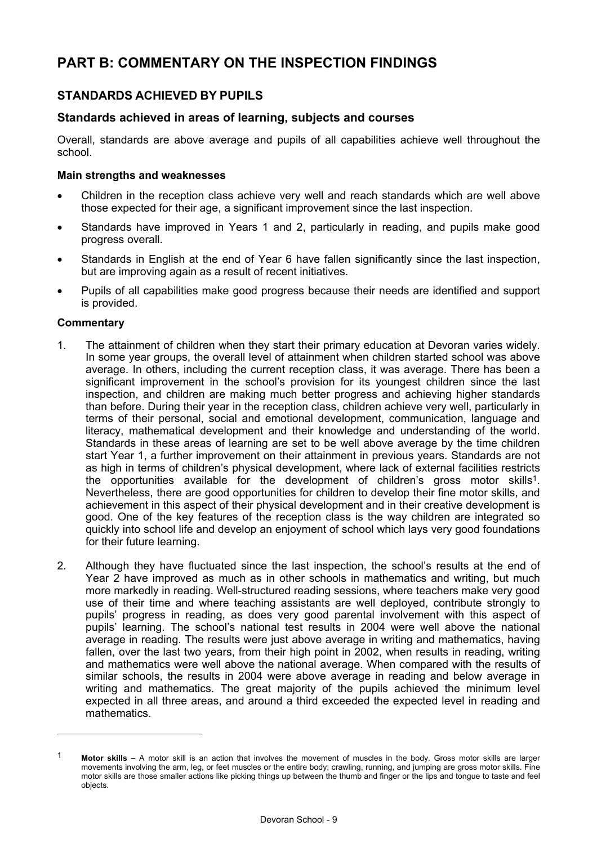# **PART B: COMMENTARY ON THE INSPECTION FINDINGS**

# **STANDARDS ACHIEVED BY PUPILS**

## **Standards achieved in areas of learning, subjects and courses**

Overall, standards are above average and pupils of all capabilities achieve well throughout the school.

### **Main strengths and weaknesses**

- Children in the reception class achieve very well and reach standards which are well above those expected for their age, a significant improvement since the last inspection.
- Standards have improved in Years 1 and 2, particularly in reading, and pupils make good progress overall.
- Standards in English at the end of Year 6 have fallen significantly since the last inspection, but are improving again as a result of recent initiatives.
- Pupils of all capabilities make good progress because their needs are identified and support is provided.

#### **Commentary**

- 1. The attainment of children when they start their primary education at Devoran varies widely. In some year groups, the overall level of attainment when children started school was above average. In others, including the current reception class, it was average. There has been a significant improvement in the school's provision for its youngest children since the last inspection, and children are making much better progress and achieving higher standards than before. During their year in the reception class, children achieve very well, particularly in terms of their personal, social and emotional development, communication, language and literacy, mathematical development and their knowledge and understanding of the world. Standards in these areas of learning are set to be well above average by the time children start Year 1, a further improvement on their attainment in previous years. Standards are not as high in terms of children's physical development, where lack of external facilities restricts the opportunities available for the development of children's gross motor skills<sup>1</sup>. Nevertheless, there are good opportunities for children to develop their fine motor skills, and achievement in this aspect of their physical development and in their creative development is good. One of the key features of the reception class is the way children are integrated so quickly into school life and develop an enjoyment of school which lays very good foundations for their future learning.
- 2. Although they have fluctuated since the last inspection, the school's results at the end of Year 2 have improved as much as in other schools in mathematics and writing, but much more markedly in reading. Well-structured reading sessions, where teachers make very good use of their time and where teaching assistants are well deployed, contribute strongly to pupils' progress in reading, as does very good parental involvement with this aspect of pupils' learning. The school's national test results in 2004 were well above the national average in reading. The results were just above average in writing and mathematics, having fallen, over the last two years, from their high point in 2002, when results in reading, writing and mathematics were well above the national average. When compared with the results of similar schools, the results in 2004 were above average in reading and below average in writing and mathematics. The great majority of the pupils achieved the minimum level expected in all three areas, and around a third exceeded the expected level in reading and mathematics.

<sup>1</sup> **Motor skills –** A motor skill is an action that involves the movement of muscles in the body. Gross motor skills are larger movements involving the arm, leg, or feet muscles or the entire body; crawling, running, and jumping are gross motor skills. Fine motor skills are those smaller actions like picking things up between the thumb and finger or the lips and tongue to taste and feel objects.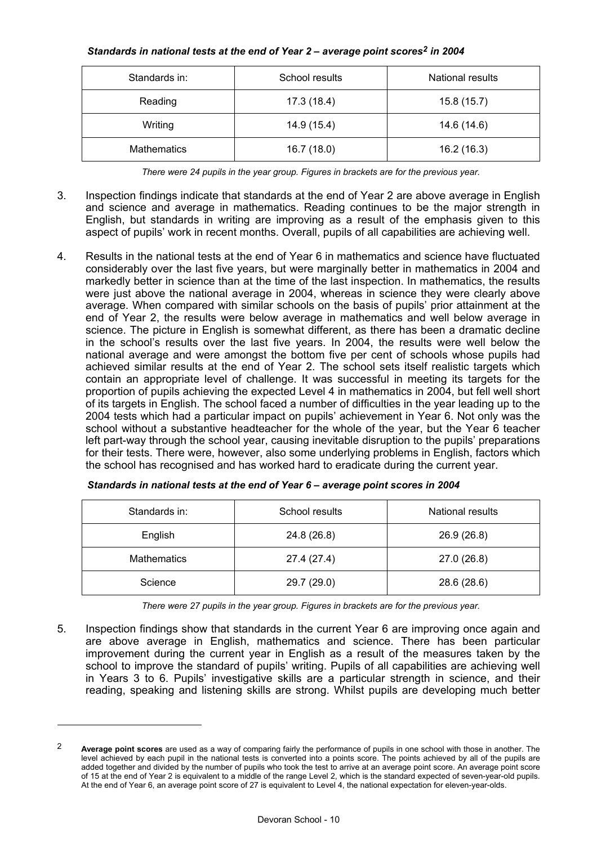#### *Standards in national tests at the end of Year 2 – average point scores2 in 2004*

| Standards in:      | School results | National results |
|--------------------|----------------|------------------|
| Reading            | 17.3 (18.4)    | 15.8(15.7)       |
| Writing            | 14.9 (15.4)    | 14.6 (14.6)      |
| <b>Mathematics</b> | 16.7(18.0)     | 16.2 (16.3)      |

*There were 24 pupils in the year group. Figures in brackets are for the previous year.* 

- 3. Inspection findings indicate that standards at the end of Year 2 are above average in English and science and average in mathematics. Reading continues to be the major strength in English, but standards in writing are improving as a result of the emphasis given to this aspect of pupils' work in recent months. Overall, pupils of all capabilities are achieving well.
- 4. Results in the national tests at the end of Year 6 in mathematics and science have fluctuated considerably over the last five years, but were marginally better in mathematics in 2004 and markedly better in science than at the time of the last inspection. In mathematics, the results were just above the national average in 2004, whereas in science they were clearly above average. When compared with similar schools on the basis of pupils' prior attainment at the end of Year 2, the results were below average in mathematics and well below average in science. The picture in English is somewhat different, as there has been a dramatic decline in the school's results over the last five years. In 2004, the results were well below the national average and were amongst the bottom five per cent of schools whose pupils had achieved similar results at the end of Year 2. The school sets itself realistic targets which contain an appropriate level of challenge. It was successful in meeting its targets for the proportion of pupils achieving the expected Level 4 in mathematics in 2004, but fell well short of its targets in English. The school faced a number of difficulties in the year leading up to the 2004 tests which had a particular impact on pupils' achievement in Year 6. Not only was the school without a substantive headteacher for the whole of the year, but the Year 6 teacher left part-way through the school year, causing inevitable disruption to the pupils' preparations for their tests. There were, however, also some underlying problems in English, factors which the school has recognised and has worked hard to eradicate during the current year.

| Standards in:      | School results | National results |
|--------------------|----------------|------------------|
| English            | 24.8 (26.8)    | 26.9 (26.8)      |
| <b>Mathematics</b> | 27.4 (27.4)    | 27.0 (26.8)      |
| Science            | 29.7 (29.0)    | 28.6 (28.6)      |

*Standards in national tests at the end of Year 6 – average point scores in 2004* 

*There were 27 pupils in the year group. Figures in brackets are for the previous year.* 

5. Inspection findings show that standards in the current Year 6 are improving once again and are above average in English, mathematics and science. There has been particular improvement during the current year in English as a result of the measures taken by the school to improve the standard of pupils' writing. Pupils of all capabilities are achieving well in Years 3 to 6. Pupils' investigative skills are a particular strength in science, and their reading, speaking and listening skills are strong. Whilst pupils are developing much better

<sup>2</sup> **Average point scores** are used as a way of comparing fairly the performance of pupils in one school with those in another. The level achieved by each pupil in the national tests is converted into a points score. The points achieved by all of the pupils are added together and divided by the number of pupils who took the test to arrive at an average point score. An average point score of 15 at the end of Year 2 is equivalent to a middle of the range Level 2, which is the standard expected of seven-year-old pupils. At the end of Year 6, an average point score of 27 is equivalent to Level 4, the national expectation for eleven-year-olds.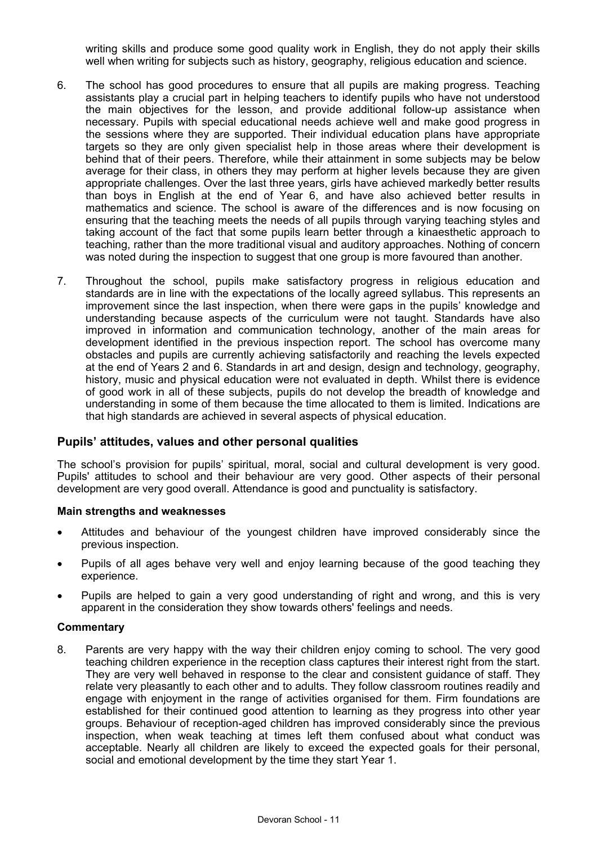writing skills and produce some good quality work in English, they do not apply their skills well when writing for subjects such as history, geography, religious education and science.

- 6. The school has good procedures to ensure that all pupils are making progress. Teaching assistants play a crucial part in helping teachers to identify pupils who have not understood the main objectives for the lesson, and provide additional follow-up assistance when necessary. Pupils with special educational needs achieve well and make good progress in the sessions where they are supported. Their individual education plans have appropriate targets so they are only given specialist help in those areas where their development is behind that of their peers. Therefore, while their attainment in some subjects may be below average for their class, in others they may perform at higher levels because they are given appropriate challenges. Over the last three years, girls have achieved markedly better results than boys in English at the end of Year 6, and have also achieved better results in mathematics and science. The school is aware of the differences and is now focusing on ensuring that the teaching meets the needs of all pupils through varying teaching styles and taking account of the fact that some pupils learn better through a kinaesthetic approach to teaching, rather than the more traditional visual and auditory approaches. Nothing of concern was noted during the inspection to suggest that one group is more favoured than another.
- 7. Throughout the school, pupils make satisfactory progress in religious education and standards are in line with the expectations of the locally agreed syllabus. This represents an improvement since the last inspection, when there were gaps in the pupils' knowledge and understanding because aspects of the curriculum were not taught. Standards have also improved in information and communication technology, another of the main areas for development identified in the previous inspection report. The school has overcome many obstacles and pupils are currently achieving satisfactorily and reaching the levels expected at the end of Years 2 and 6. Standards in art and design, design and technology, geography, history, music and physical education were not evaluated in depth. Whilst there is evidence of good work in all of these subjects, pupils do not develop the breadth of knowledge and understanding in some of them because the time allocated to them is limited. Indications are that high standards are achieved in several aspects of physical education.

### **Pupils' attitudes, values and other personal qualities**

The school's provision for pupils' spiritual, moral, social and cultural development is very good. Pupils' attitudes to school and their behaviour are very good. Other aspects of their personal development are very good overall. Attendance is good and punctuality is satisfactory.

#### **Main strengths and weaknesses**

- Attitudes and behaviour of the youngest children have improved considerably since the previous inspection.
- Pupils of all ages behave very well and enjoy learning because of the good teaching they experience.
- Pupils are helped to gain a very good understanding of right and wrong, and this is very apparent in the consideration they show towards others' feelings and needs.

#### **Commentary**

8. Parents are very happy with the way their children enjoy coming to school. The very good teaching children experience in the reception class captures their interest right from the start. They are very well behaved in response to the clear and consistent guidance of staff. They relate very pleasantly to each other and to adults. They follow classroom routines readily and engage with enjoyment in the range of activities organised for them. Firm foundations are established for their continued good attention to learning as they progress into other year groups. Behaviour of reception-aged children has improved considerably since the previous inspection, when weak teaching at times left them confused about what conduct was acceptable. Nearly all children are likely to exceed the expected goals for their personal, social and emotional development by the time they start Year 1.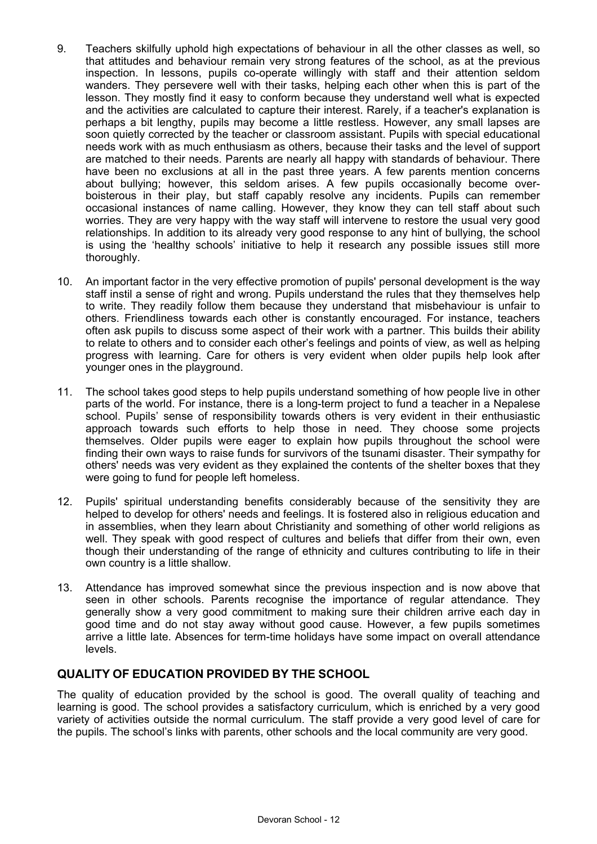- 9. Teachers skilfully uphold high expectations of behaviour in all the other classes as well, so that attitudes and behaviour remain very strong features of the school, as at the previous inspection. In lessons, pupils co-operate willingly with staff and their attention seldom wanders. They persevere well with their tasks, helping each other when this is part of the lesson. They mostly find it easy to conform because they understand well what is expected and the activities are calculated to capture their interest. Rarely, if a teacher's explanation is perhaps a bit lengthy, pupils may become a little restless. However, any small lapses are soon quietly corrected by the teacher or classroom assistant. Pupils with special educational needs work with as much enthusiasm as others, because their tasks and the level of support are matched to their needs. Parents are nearly all happy with standards of behaviour. There have been no exclusions at all in the past three years. A few parents mention concerns about bullying; however, this seldom arises. A few pupils occasionally become overboisterous in their play, but staff capably resolve any incidents. Pupils can remember occasional instances of name calling. However, they know they can tell staff about such worries. They are very happy with the way staff will intervene to restore the usual very good relationships. In addition to its already very good response to any hint of bullying, the school is using the 'healthy schools' initiative to help it research any possible issues still more thoroughly.
- 10. An important factor in the very effective promotion of pupils' personal development is the way staff instil a sense of right and wrong. Pupils understand the rules that they themselves help to write. They readily follow them because they understand that misbehaviour is unfair to others. Friendliness towards each other is constantly encouraged. For instance, teachers often ask pupils to discuss some aspect of their work with a partner. This builds their ability to relate to others and to consider each other's feelings and points of view, as well as helping progress with learning. Care for others is very evident when older pupils help look after younger ones in the playground.
- 11. The school takes good steps to help pupils understand something of how people live in other parts of the world. For instance, there is a long-term project to fund a teacher in a Nepalese school. Pupils' sense of responsibility towards others is very evident in their enthusiastic approach towards such efforts to help those in need. They choose some projects themselves. Older pupils were eager to explain how pupils throughout the school were finding their own ways to raise funds for survivors of the tsunami disaster. Their sympathy for others' needs was very evident as they explained the contents of the shelter boxes that they were going to fund for people left homeless.
- 12. Pupils' spiritual understanding benefits considerably because of the sensitivity they are helped to develop for others' needs and feelings. It is fostered also in religious education and in assemblies, when they learn about Christianity and something of other world religions as well. They speak with good respect of cultures and beliefs that differ from their own, even though their understanding of the range of ethnicity and cultures contributing to life in their own country is a little shallow.
- 13. Attendance has improved somewhat since the previous inspection and is now above that seen in other schools. Parents recognise the importance of regular attendance. They generally show a very good commitment to making sure their children arrive each day in good time and do not stay away without good cause. However, a few pupils sometimes arrive a little late. Absences for term-time holidays have some impact on overall attendance levels.

# **QUALITY OF EDUCATION PROVIDED BY THE SCHOOL**

The quality of education provided by the school is good. The overall quality of teaching and learning is good. The school provides a satisfactory curriculum, which is enriched by a very good variety of activities outside the normal curriculum. The staff provide a very good level of care for the pupils. The school's links with parents, other schools and the local community are very good.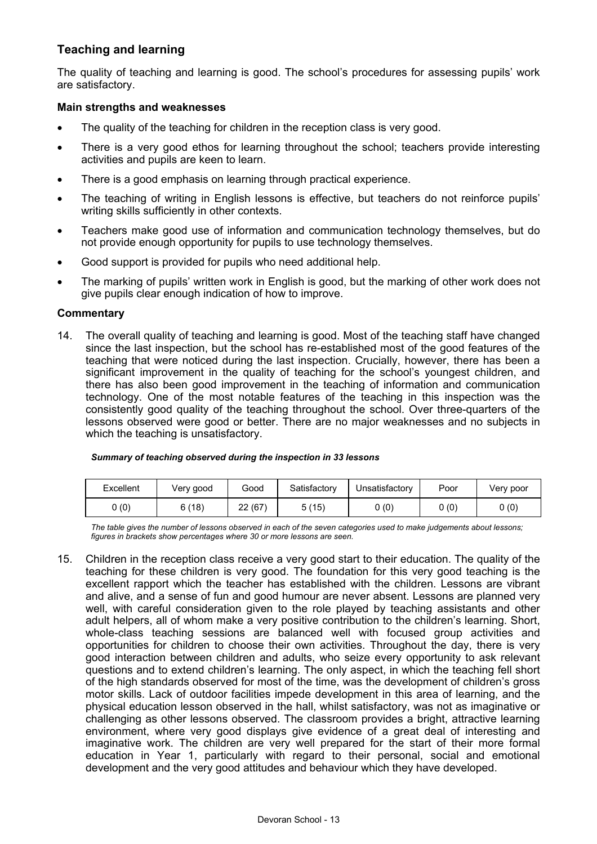# **Teaching and learning**

The quality of teaching and learning is good. The school's procedures for assessing pupils' work are satisfactory.

#### **Main strengths and weaknesses**

- The quality of the teaching for children in the reception class is very good.
- There is a very good ethos for learning throughout the school; teachers provide interesting activities and pupils are keen to learn.
- There is a good emphasis on learning through practical experience.
- The teaching of writing in English lessons is effective, but teachers do not reinforce pupils' writing skills sufficiently in other contexts.
- Teachers make good use of information and communication technology themselves, but do not provide enough opportunity for pupils to use technology themselves.
- Good support is provided for pupils who need additional help.
- The marking of pupils' written work in English is good, but the marking of other work does not give pupils clear enough indication of how to improve.

#### **Commentary**

14. The overall quality of teaching and learning is good. Most of the teaching staff have changed since the last inspection, but the school has re-established most of the good features of the teaching that were noticed during the last inspection. Crucially, however, there has been a significant improvement in the quality of teaching for the school's youngest children, and there has also been good improvement in the teaching of information and communication technology. One of the most notable features of the teaching in this inspection was the consistently good quality of the teaching throughout the school. Over three-quarters of the lessons observed were good or better. There are no major weaknesses and no subjects in which the teaching is unsatisfactory.

| Excellent | Very good | Good   | Satisfactory | Unsatisfactory | Poor | Very poor |
|-----------|-----------|--------|--------------|----------------|------|-----------|
| 0(0)      | 6(18)     | 22(67) | 5(15)        | 0(0)           | 0(0) | 0(0)      |

#### *Summary of teaching observed during the inspection in 33 lessons*

*The table gives the number of lessons observed in each of the seven categories used to make judgements about lessons; figures in brackets show percentages where 30 or more lessons are seen.* 

15. Children in the reception class receive a very good start to their education. The quality of the teaching for these children is very good. The foundation for this very good teaching is the excellent rapport which the teacher has established with the children. Lessons are vibrant and alive, and a sense of fun and good humour are never absent. Lessons are planned very well, with careful consideration given to the role played by teaching assistants and other adult helpers, all of whom make a very positive contribution to the children's learning. Short, whole-class teaching sessions are balanced well with focused group activities and opportunities for children to choose their own activities. Throughout the day, there is very good interaction between children and adults, who seize every opportunity to ask relevant questions and to extend children's learning. The only aspect, in which the teaching fell short of the high standards observed for most of the time, was the development of children's gross motor skills. Lack of outdoor facilities impede development in this area of learning, and the physical education lesson observed in the hall, whilst satisfactory, was not as imaginative or challenging as other lessons observed. The classroom provides a bright, attractive learning environment, where very good displays give evidence of a great deal of interesting and imaginative work. The children are very well prepared for the start of their more formal education in Year 1, particularly with regard to their personal, social and emotional development and the very good attitudes and behaviour which they have developed.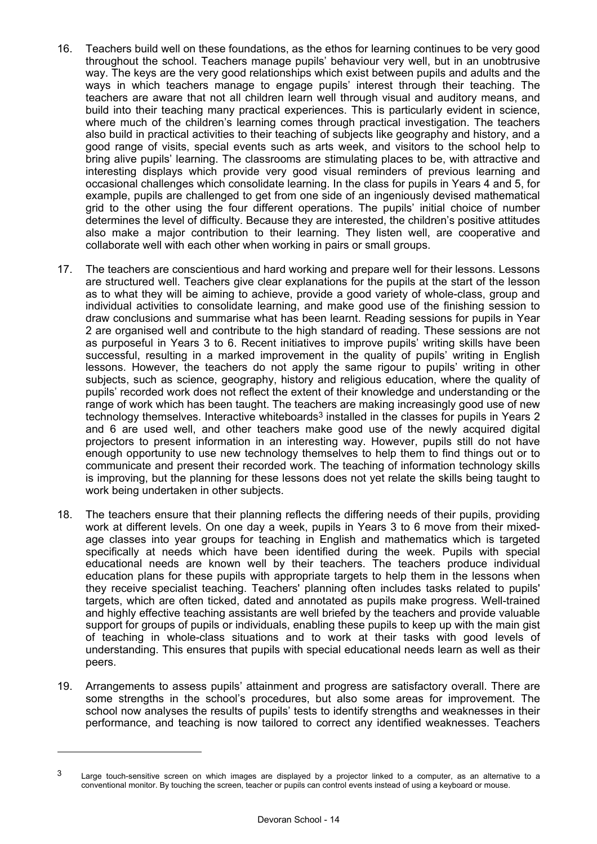- 16. Teachers build well on these foundations, as the ethos for learning continues to be very good throughout the school. Teachers manage pupils' behaviour very well, but in an unobtrusive way. The keys are the very good relationships which exist between pupils and adults and the ways in which teachers manage to engage pupils' interest through their teaching. The teachers are aware that not all children learn well through visual and auditory means, and build into their teaching many practical experiences. This is particularly evident in science, where much of the children's learning comes through practical investigation. The teachers also build in practical activities to their teaching of subjects like geography and history, and a good range of visits, special events such as arts week, and visitors to the school help to bring alive pupils' learning. The classrooms are stimulating places to be, with attractive and interesting displays which provide very good visual reminders of previous learning and occasional challenges which consolidate learning. In the class for pupils in Years 4 and 5, for example, pupils are challenged to get from one side of an ingeniously devised mathematical grid to the other using the four different operations. The pupils' initial choice of number determines the level of difficulty. Because they are interested, the children's positive attitudes also make a major contribution to their learning. They listen well, are cooperative and collaborate well with each other when working in pairs or small groups.
- 17. The teachers are conscientious and hard working and prepare well for their lessons. Lessons are structured well. Teachers give clear explanations for the pupils at the start of the lesson as to what they will be aiming to achieve, provide a good variety of whole-class, group and individual activities to consolidate learning, and make good use of the finishing session to draw conclusions and summarise what has been learnt. Reading sessions for pupils in Year 2 are organised well and contribute to the high standard of reading. These sessions are not as purposeful in Years 3 to 6. Recent initiatives to improve pupils' writing skills have been successful, resulting in a marked improvement in the quality of pupils' writing in English lessons. However, the teachers do not apply the same rigour to pupils' writing in other subjects, such as science, geography, history and religious education, where the quality of pupils' recorded work does not reflect the extent of their knowledge and understanding or the range of work which has been taught. The teachers are making increasingly good use of new technology themselves. Interactive whiteboards<sup>3</sup> installed in the classes for pupils in Years 2 and 6 are used well, and other teachers make good use of the newly acquired digital projectors to present information in an interesting way. However, pupils still do not have enough opportunity to use new technology themselves to help them to find things out or to communicate and present their recorded work. The teaching of information technology skills is improving, but the planning for these lessons does not yet relate the skills being taught to work being undertaken in other subjects.
- 18. The teachers ensure that their planning reflects the differing needs of their pupils, providing work at different levels. On one day a week, pupils in Years 3 to 6 move from their mixedage classes into year groups for teaching in English and mathematics which is targeted specifically at needs which have been identified during the week. Pupils with special educational needs are known well by their teachers. The teachers produce individual education plans for these pupils with appropriate targets to help them in the lessons when they receive specialist teaching. Teachers' planning often includes tasks related to pupils' targets, which are often ticked, dated and annotated as pupils make progress. Well-trained and highly effective teaching assistants are well briefed by the teachers and provide valuable support for groups of pupils or individuals, enabling these pupils to keep up with the main gist of teaching in whole-class situations and to work at their tasks with good levels of understanding. This ensures that pupils with special educational needs learn as well as their peers.
- 19. Arrangements to assess pupils' attainment and progress are satisfactory overall. There are some strengths in the school's procedures, but also some areas for improvement. The school now analyses the results of pupils' tests to identify strengths and weaknesses in their performance, and teaching is now tailored to correct any identified weaknesses. Teachers

 $\overline{a}$ 

 $3$  Large touch-sensitive screen on which images are displayed by a projector linked to a computer, as an alternative to a conventional monitor. By touching the screen, teacher or pupils can control events instead of using a keyboard or mouse.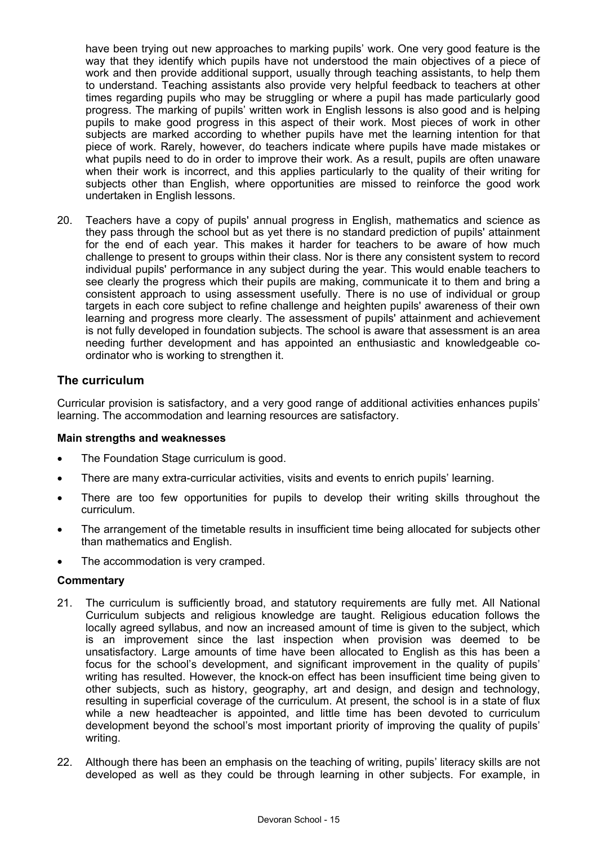have been trying out new approaches to marking pupils' work. One very good feature is the way that they identify which pupils have not understood the main objectives of a piece of work and then provide additional support, usually through teaching assistants, to help them to understand. Teaching assistants also provide very helpful feedback to teachers at other times regarding pupils who may be struggling or where a pupil has made particularly good progress. The marking of pupils' written work in English lessons is also good and is helping pupils to make good progress in this aspect of their work. Most pieces of work in other subjects are marked according to whether pupils have met the learning intention for that piece of work. Rarely, however, do teachers indicate where pupils have made mistakes or what pupils need to do in order to improve their work. As a result, pupils are often unaware when their work is incorrect, and this applies particularly to the quality of their writing for subjects other than English, where opportunities are missed to reinforce the good work undertaken in English lessons.

20. Teachers have a copy of pupils' annual progress in English, mathematics and science as they pass through the school but as yet there is no standard prediction of pupils' attainment for the end of each year. This makes it harder for teachers to be aware of how much challenge to present to groups within their class. Nor is there any consistent system to record individual pupils' performance in any subject during the year. This would enable teachers to see clearly the progress which their pupils are making, communicate it to them and bring a consistent approach to using assessment usefully. There is no use of individual or group targets in each core subject to refine challenge and heighten pupils' awareness of their own learning and progress more clearly. The assessment of pupils' attainment and achievement is not fully developed in foundation subjects. The school is aware that assessment is an area needing further development and has appointed an enthusiastic and knowledgeable coordinator who is working to strengthen it.

## **The curriculum**

Curricular provision is satisfactory, and a very good range of additional activities enhances pupils' learning. The accommodation and learning resources are satisfactory.

#### **Main strengths and weaknesses**

- The Foundation Stage curriculum is good.
- There are many extra-curricular activities, visits and events to enrich pupils' learning.
- There are too few opportunities for pupils to develop their writing skills throughout the curriculum.
- The arrangement of the timetable results in insufficient time being allocated for subjects other than mathematics and English.
- The accommodation is very cramped.

#### **Commentary**

- 21. The curriculum is sufficiently broad, and statutory requirements are fully met. All National Curriculum subjects and religious knowledge are taught. Religious education follows the locally agreed syllabus, and now an increased amount of time is given to the subject, which is an improvement since the last inspection when provision was deemed to be unsatisfactory. Large amounts of time have been allocated to English as this has been a focus for the school's development, and significant improvement in the quality of pupils' writing has resulted. However, the knock-on effect has been insufficient time being given to other subjects, such as history, geography, art and design, and design and technology, resulting in superficial coverage of the curriculum. At present, the school is in a state of flux while a new headteacher is appointed, and little time has been devoted to curriculum development beyond the school's most important priority of improving the quality of pupils' writing.
- 22. Although there has been an emphasis on the teaching of writing, pupils' literacy skills are not developed as well as they could be through learning in other subjects. For example, in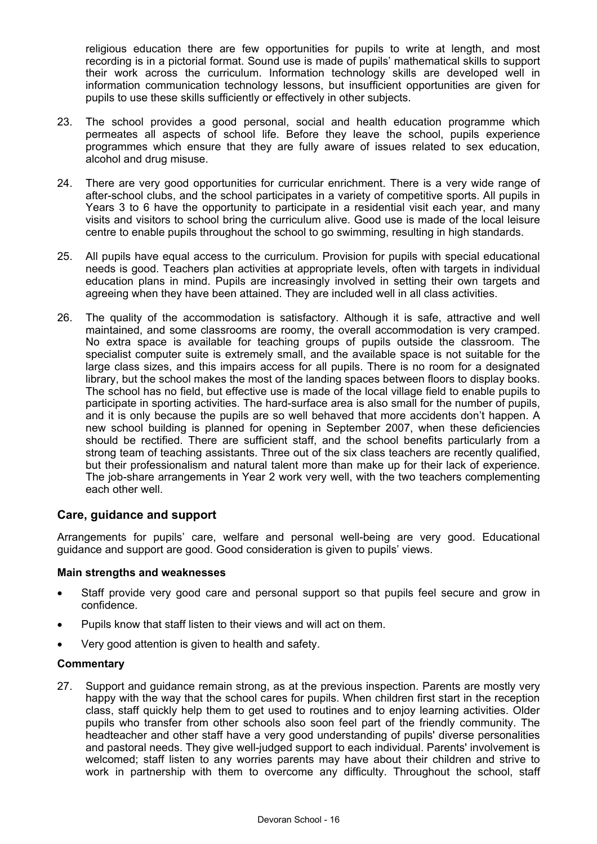religious education there are few opportunities for pupils to write at length, and most recording is in a pictorial format. Sound use is made of pupils' mathematical skills to support their work across the curriculum. Information technology skills are developed well in information communication technology lessons, but insufficient opportunities are given for pupils to use these skills sufficiently or effectively in other subjects.

- 23. The school provides a good personal, social and health education programme which permeates all aspects of school life. Before they leave the school, pupils experience programmes which ensure that they are fully aware of issues related to sex education, alcohol and drug misuse.
- 24. There are very good opportunities for curricular enrichment. There is a very wide range of after-school clubs, and the school participates in a variety of competitive sports. All pupils in Years 3 to 6 have the opportunity to participate in a residential visit each year, and many visits and visitors to school bring the curriculum alive. Good use is made of the local leisure centre to enable pupils throughout the school to go swimming, resulting in high standards.
- 25. All pupils have equal access to the curriculum. Provision for pupils with special educational needs is good. Teachers plan activities at appropriate levels, often with targets in individual education plans in mind. Pupils are increasingly involved in setting their own targets and agreeing when they have been attained. They are included well in all class activities.
- 26. The quality of the accommodation is satisfactory. Although it is safe, attractive and well maintained, and some classrooms are roomy, the overall accommodation is very cramped. No extra space is available for teaching groups of pupils outside the classroom. The specialist computer suite is extremely small, and the available space is not suitable for the large class sizes, and this impairs access for all pupils. There is no room for a designated library, but the school makes the most of the landing spaces between floors to display books. The school has no field, but effective use is made of the local village field to enable pupils to participate in sporting activities. The hard-surface area is also small for the number of pupils, and it is only because the pupils are so well behaved that more accidents don't happen. A new school building is planned for opening in September 2007, when these deficiencies should be rectified. There are sufficient staff, and the school benefits particularly from a strong team of teaching assistants. Three out of the six class teachers are recently qualified, but their professionalism and natural talent more than make up for their lack of experience. The job-share arrangements in Year 2 work very well, with the two teachers complementing each other well.

### **Care, guidance and support**

Arrangements for pupils' care, welfare and personal well-being are very good. Educational guidance and support are good. Good consideration is given to pupils' views.

#### **Main strengths and weaknesses**

- Staff provide very good care and personal support so that pupils feel secure and grow in confidence.
- Pupils know that staff listen to their views and will act on them.
- Very good attention is given to health and safety.

#### **Commentary**

27. Support and guidance remain strong, as at the previous inspection. Parents are mostly very happy with the way that the school cares for pupils. When children first start in the reception class, staff quickly help them to get used to routines and to enjoy learning activities. Older pupils who transfer from other schools also soon feel part of the friendly community. The headteacher and other staff have a very good understanding of pupils' diverse personalities and pastoral needs. They give well-judged support to each individual. Parents' involvement is welcomed; staff listen to any worries parents may have about their children and strive to work in partnership with them to overcome any difficulty. Throughout the school, staff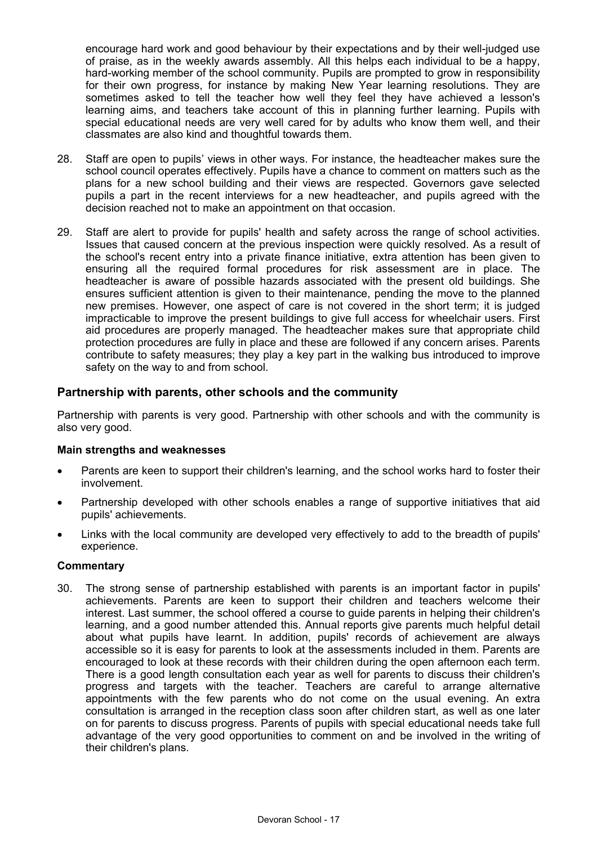encourage hard work and good behaviour by their expectations and by their well-judged use of praise, as in the weekly awards assembly. All this helps each individual to be a happy, hard-working member of the school community. Pupils are prompted to grow in responsibility for their own progress, for instance by making New Year learning resolutions. They are sometimes asked to tell the teacher how well they feel they have achieved a lesson's learning aims, and teachers take account of this in planning further learning. Pupils with special educational needs are very well cared for by adults who know them well, and their classmates are also kind and thoughtful towards them.

- 28. Staff are open to pupils' views in other ways. For instance, the headteacher makes sure the school council operates effectively. Pupils have a chance to comment on matters such as the plans for a new school building and their views are respected. Governors gave selected pupils a part in the recent interviews for a new headteacher, and pupils agreed with the decision reached not to make an appointment on that occasion.
- 29. Staff are alert to provide for pupils' health and safety across the range of school activities. Issues that caused concern at the previous inspection were quickly resolved. As a result of the school's recent entry into a private finance initiative, extra attention has been given to ensuring all the required formal procedures for risk assessment are in place. The headteacher is aware of possible hazards associated with the present old buildings. She ensures sufficient attention is given to their maintenance, pending the move to the planned new premises. However, one aspect of care is not covered in the short term; it is judged impracticable to improve the present buildings to give full access for wheelchair users. First aid procedures are properly managed. The headteacher makes sure that appropriate child protection procedures are fully in place and these are followed if any concern arises. Parents contribute to safety measures; they play a key part in the walking bus introduced to improve safety on the way to and from school.

### **Partnership with parents, other schools and the community**

Partnership with parents is very good. Partnership with other schools and with the community is also very good.

#### **Main strengths and weaknesses**

- Parents are keen to support their children's learning, and the school works hard to foster their involvement.
- Partnership developed with other schools enables a range of supportive initiatives that aid pupils' achievements.
- Links with the local community are developed very effectively to add to the breadth of pupils' experience.

#### **Commentary**

30. The strong sense of partnership established with parents is an important factor in pupils' achievements. Parents are keen to support their children and teachers welcome their interest. Last summer, the school offered a course to guide parents in helping their children's learning, and a good number attended this. Annual reports give parents much helpful detail about what pupils have learnt. In addition, pupils' records of achievement are always accessible so it is easy for parents to look at the assessments included in them. Parents are encouraged to look at these records with their children during the open afternoon each term. There is a good length consultation each year as well for parents to discuss their children's progress and targets with the teacher. Teachers are careful to arrange alternative appointments with the few parents who do not come on the usual evening. An extra consultation is arranged in the reception class soon after children start, as well as one later on for parents to discuss progress. Parents of pupils with special educational needs take full advantage of the very good opportunities to comment on and be involved in the writing of their children's plans.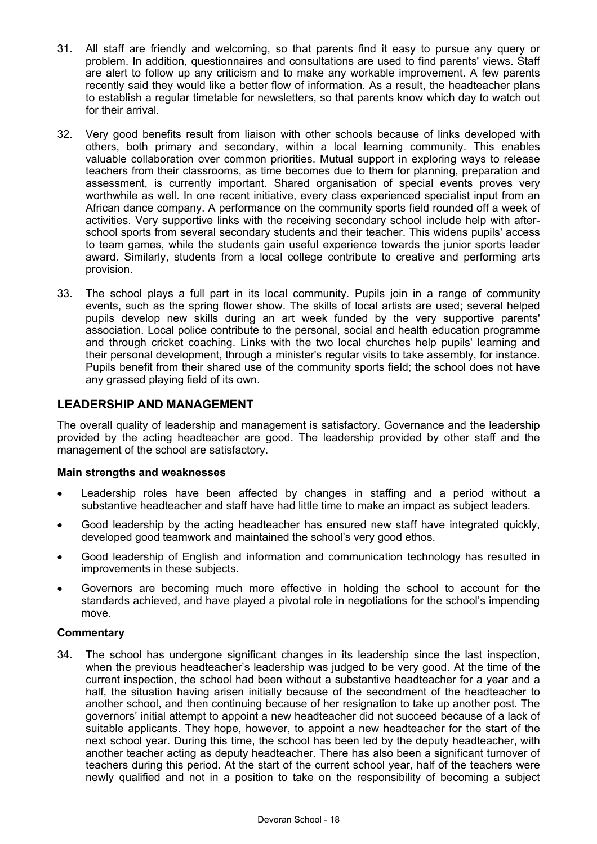- 31. All staff are friendly and welcoming, so that parents find it easy to pursue any query or problem. In addition, questionnaires and consultations are used to find parents' views. Staff are alert to follow up any criticism and to make any workable improvement. A few parents recently said they would like a better flow of information. As a result, the headteacher plans to establish a regular timetable for newsletters, so that parents know which day to watch out for their arrival.
- 32. Very good benefits result from liaison with other schools because of links developed with others, both primary and secondary, within a local learning community. This enables valuable collaboration over common priorities. Mutual support in exploring ways to release teachers from their classrooms, as time becomes due to them for planning, preparation and assessment, is currently important. Shared organisation of special events proves very worthwhile as well. In one recent initiative, every class experienced specialist input from an African dance company. A performance on the community sports field rounded off a week of activities. Very supportive links with the receiving secondary school include help with afterschool sports from several secondary students and their teacher. This widens pupils' access to team games, while the students gain useful experience towards the junior sports leader award. Similarly, students from a local college contribute to creative and performing arts provision.
- 33. The school plays a full part in its local community. Pupils join in a range of community events, such as the spring flower show. The skills of local artists are used; several helped pupils develop new skills during an art week funded by the very supportive parents' association. Local police contribute to the personal, social and health education programme and through cricket coaching. Links with the two local churches help pupils' learning and their personal development, through a minister's regular visits to take assembly, for instance. Pupils benefit from their shared use of the community sports field; the school does not have any grassed playing field of its own.

# **LEADERSHIP AND MANAGEMENT**

The overall quality of leadership and management is satisfactory. Governance and the leadership provided by the acting headteacher are good. The leadership provided by other staff and the management of the school are satisfactory.

#### **Main strengths and weaknesses**

- Leadership roles have been affected by changes in staffing and a period without a substantive headteacher and staff have had little time to make an impact as subject leaders.
- Good leadership by the acting headteacher has ensured new staff have integrated quickly, developed good teamwork and maintained the school's very good ethos.
- Good leadership of English and information and communication technology has resulted in improvements in these subjects.
- Governors are becoming much more effective in holding the school to account for the standards achieved, and have played a pivotal role in negotiations for the school's impending move.

#### **Commentary**

34. The school has undergone significant changes in its leadership since the last inspection, when the previous headteacher's leadership was judged to be very good. At the time of the current inspection, the school had been without a substantive headteacher for a year and a half, the situation having arisen initially because of the secondment of the headteacher to another school, and then continuing because of her resignation to take up another post. The governors' initial attempt to appoint a new headteacher did not succeed because of a lack of suitable applicants. They hope, however, to appoint a new headteacher for the start of the next school year. During this time, the school has been led by the deputy headteacher, with another teacher acting as deputy headteacher. There has also been a significant turnover of teachers during this period. At the start of the current school year, half of the teachers were newly qualified and not in a position to take on the responsibility of becoming a subject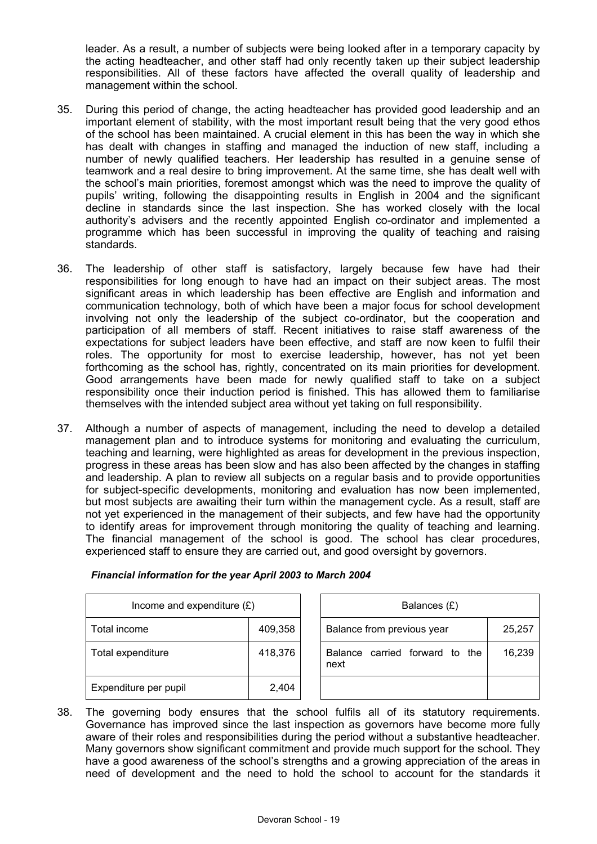leader. As a result, a number of subjects were being looked after in a temporary capacity by the acting headteacher, and other staff had only recently taken up their subject leadership responsibilities. All of these factors have affected the overall quality of leadership and management within the school.

- 35. During this period of change, the acting headteacher has provided good leadership and an important element of stability, with the most important result being that the very good ethos of the school has been maintained. A crucial element in this has been the way in which she has dealt with changes in staffing and managed the induction of new staff, including a number of newly qualified teachers. Her leadership has resulted in a genuine sense of teamwork and a real desire to bring improvement. At the same time, she has dealt well with the school's main priorities, foremost amongst which was the need to improve the quality of pupils' writing, following the disappointing results in English in 2004 and the significant decline in standards since the last inspection. She has worked closely with the local authority's advisers and the recently appointed English co-ordinator and implemented a programme which has been successful in improving the quality of teaching and raising standards.
- 36. The leadership of other staff is satisfactory, largely because few have had their responsibilities for long enough to have had an impact on their subject areas. The most significant areas in which leadership has been effective are English and information and communication technology, both of which have been a major focus for school development involving not only the leadership of the subject co-ordinator, but the cooperation and participation of all members of staff. Recent initiatives to raise staff awareness of the expectations for subject leaders have been effective, and staff are now keen to fulfil their roles. The opportunity for most to exercise leadership, however, has not yet been forthcoming as the school has, rightly, concentrated on its main priorities for development. Good arrangements have been made for newly qualified staff to take on a subject responsibility once their induction period is finished. This has allowed them to familiarise themselves with the intended subject area without yet taking on full responsibility.
- 37. Although a number of aspects of management, including the need to develop a detailed management plan and to introduce systems for monitoring and evaluating the curriculum, teaching and learning, were highlighted as areas for development in the previous inspection, progress in these areas has been slow and has also been affected by the changes in staffing and leadership. A plan to review all subjects on a regular basis and to provide opportunities for subject-specific developments, monitoring and evaluation has now been implemented, but most subjects are awaiting their turn within the management cycle. As a result, staff are not yet experienced in the management of their subjects, and few have had the opportunity to identify areas for improvement through monitoring the quality of teaching and learning. The financial management of the school is good. The school has clear procedures, experienced staff to ensure they are carried out, and good oversight by governors.

| Income and expenditure $(E)$ |         | Balances (£)                           |        |
|------------------------------|---------|----------------------------------------|--------|
| Total income                 | 409,358 | Balance from previous year             | 25,257 |
| Total expenditure            | 418,376 | Balance carried forward to the<br>next | 16,239 |
| Expenditure per pupil        | 2,404   |                                        |        |

## *Financial information for the year April 2003 to March 2004*

38. The governing body ensures that the school fulfils all of its statutory requirements. Governance has improved since the last inspection as governors have become more fully aware of their roles and responsibilities during the period without a substantive headteacher. Many governors show significant commitment and provide much support for the school. They have a good awareness of the school's strengths and a growing appreciation of the areas in need of development and the need to hold the school to account for the standards it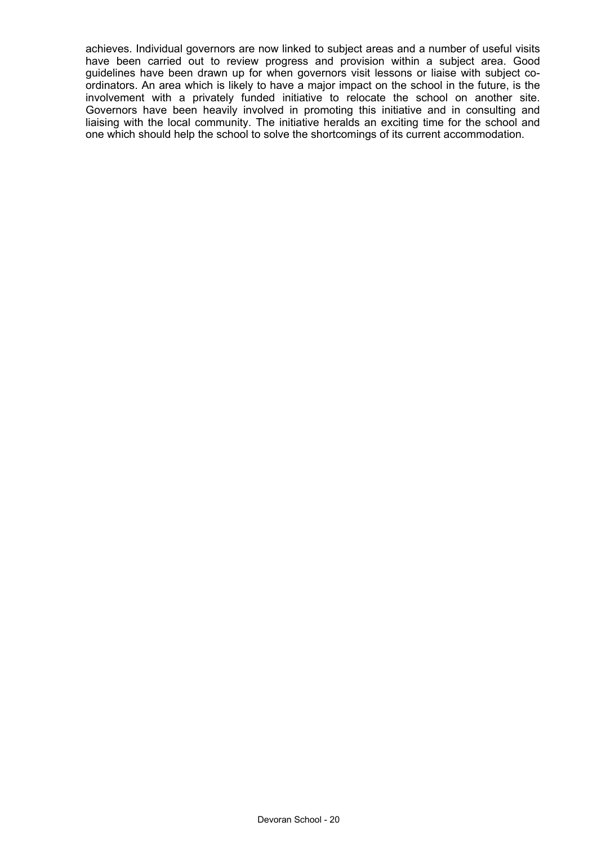achieves. Individual governors are now linked to subject areas and a number of useful visits have been carried out to review progress and provision within a subject area. Good guidelines have been drawn up for when governors visit lessons or liaise with subject coordinators. An area which is likely to have a major impact on the school in the future, is the involvement with a privately funded initiative to relocate the school on another site. Governors have been heavily involved in promoting this initiative and in consulting and liaising with the local community. The initiative heralds an exciting time for the school and one which should help the school to solve the shortcomings of its current accommodation.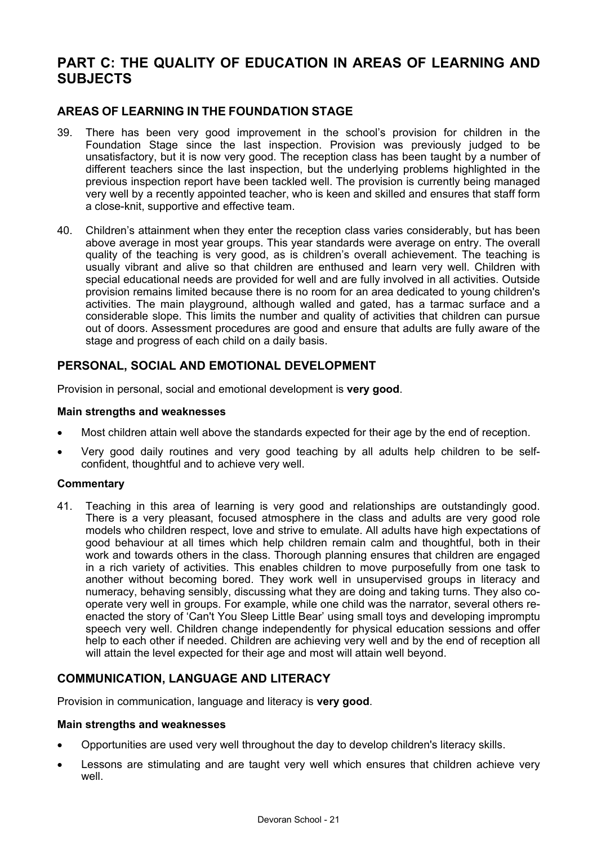# **PART C: THE QUALITY OF EDUCATION IN AREAS OF LEARNING AND SUBJECTS**

# **AREAS OF LEARNING IN THE FOUNDATION STAGE**

- 39. There has been very good improvement in the school's provision for children in the Foundation Stage since the last inspection. Provision was previously judged to be unsatisfactory, but it is now very good. The reception class has been taught by a number of different teachers since the last inspection, but the underlying problems highlighted in the previous inspection report have been tackled well. The provision is currently being managed very well by a recently appointed teacher, who is keen and skilled and ensures that staff form a close-knit, supportive and effective team.
- 40. Children's attainment when they enter the reception class varies considerably, but has been above average in most year groups. This year standards were average on entry. The overall quality of the teaching is very good, as is children's overall achievement. The teaching is usually vibrant and alive so that children are enthused and learn very well. Children with special educational needs are provided for well and are fully involved in all activities. Outside provision remains limited because there is no room for an area dedicated to young children's activities. The main playground, although walled and gated, has a tarmac surface and a considerable slope. This limits the number and quality of activities that children can pursue out of doors. Assessment procedures are good and ensure that adults are fully aware of the stage and progress of each child on a daily basis.

# **PERSONAL, SOCIAL AND EMOTIONAL DEVELOPMENT**

Provision in personal, social and emotional development is **very good**.

#### **Main strengths and weaknesses**

- Most children attain well above the standards expected for their age by the end of reception.
- Very good daily routines and very good teaching by all adults help children to be selfconfident, thoughtful and to achieve very well.

### **Commentary**

41. Teaching in this area of learning is very good and relationships are outstandingly good. There is a very pleasant, focused atmosphere in the class and adults are very good role models who children respect, love and strive to emulate. All adults have high expectations of good behaviour at all times which help children remain calm and thoughtful, both in their work and towards others in the class. Thorough planning ensures that children are engaged in a rich variety of activities. This enables children to move purposefully from one task to another without becoming bored. They work well in unsupervised groups in literacy and numeracy, behaving sensibly, discussing what they are doing and taking turns. They also cooperate very well in groups. For example, while one child was the narrator, several others reenacted the story of 'Can't You Sleep Little Bear' using small toys and developing impromptu speech very well. Children change independently for physical education sessions and offer help to each other if needed. Children are achieving very well and by the end of reception all will attain the level expected for their age and most will attain well beyond.

# **COMMUNICATION, LANGUAGE AND LITERACY**

Provision in communication, language and literacy is **very good**.

#### **Main strengths and weaknesses**

- Opportunities are used very well throughout the day to develop children's literacy skills.
- Lessons are stimulating and are taught very well which ensures that children achieve very well.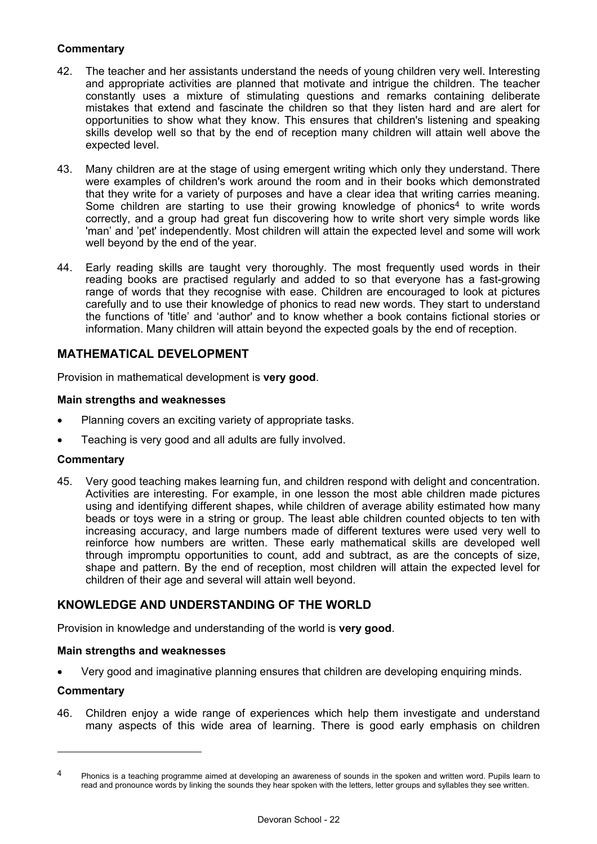## **Commentary**

- 42. The teacher and her assistants understand the needs of young children very well. Interesting and appropriate activities are planned that motivate and intrigue the children. The teacher constantly uses a mixture of stimulating questions and remarks containing deliberate mistakes that extend and fascinate the children so that they listen hard and are alert for opportunities to show what they know. This ensures that children's listening and speaking skills develop well so that by the end of reception many children will attain well above the expected level.
- 43. Many children are at the stage of using emergent writing which only they understand. There were examples of children's work around the room and in their books which demonstrated that they write for a variety of purposes and have a clear idea that writing carries meaning. Some children are starting to use their growing knowledge of phonics<sup>4</sup> to write words correctly, and a group had great fun discovering how to write short very simple words like 'man' and 'pet' independently. Most children will attain the expected level and some will work well beyond by the end of the year.
- 44. Early reading skills are taught very thoroughly. The most frequently used words in their reading books are practised regularly and added to so that everyone has a fast-growing range of words that they recognise with ease. Children are encouraged to look at pictures carefully and to use their knowledge of phonics to read new words. They start to understand the functions of 'title' and 'author' and to know whether a book contains fictional stories or information. Many children will attain beyond the expected goals by the end of reception.

# **MATHEMATICAL DEVELOPMENT**

Provision in mathematical development is **very good**.

#### **Main strengths and weaknesses**

- Planning covers an exciting variety of appropriate tasks.
- Teaching is very good and all adults are fully involved.

#### **Commentary**

45. Very good teaching makes learning fun, and children respond with delight and concentration. Activities are interesting. For example, in one lesson the most able children made pictures using and identifying different shapes, while children of average ability estimated how many beads or toys were in a string or group. The least able children counted objects to ten with increasing accuracy, and large numbers made of different textures were used very well to reinforce how numbers are written. These early mathematical skills are developed well through impromptu opportunities to count, add and subtract, as are the concepts of size, shape and pattern. By the end of reception, most children will attain the expected level for children of their age and several will attain well beyond.

# **KNOWLEDGE AND UNDERSTANDING OF THE WORLD**

Provision in knowledge and understanding of the world is **very good**.

#### **Main strengths and weaknesses**

• Very good and imaginative planning ensures that children are developing enquiring minds.

#### **Commentary**

 $\overline{a}$ 

46. Children enjoy a wide range of experiences which help them investigate and understand many aspects of this wide area of learning. There is good early emphasis on children

<sup>&</sup>lt;sup>4</sup> Phonics is a teaching programme aimed at developing an awareness of sounds in the spoken and written word. Pupils learn to read and pronounce words by linking the sounds they hear spoken with the letters, letter groups and syllables they see written.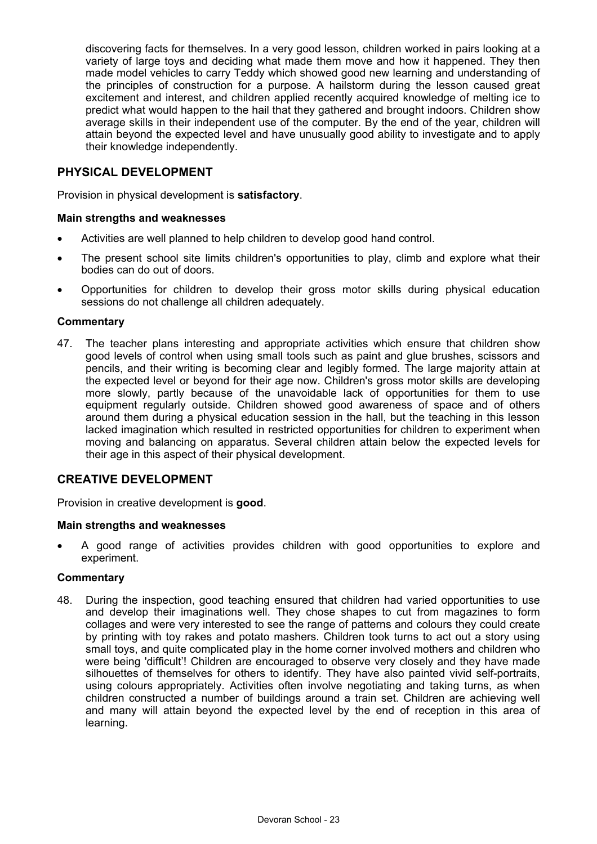discovering facts for themselves. In a very good lesson, children worked in pairs looking at a variety of large toys and deciding what made them move and how it happened. They then made model vehicles to carry Teddy which showed good new learning and understanding of the principles of construction for a purpose. A hailstorm during the lesson caused great excitement and interest, and children applied recently acquired knowledge of melting ice to predict what would happen to the hail that they gathered and brought indoors. Children show average skills in their independent use of the computer. By the end of the year, children will attain beyond the expected level and have unusually good ability to investigate and to apply their knowledge independently.

## **PHYSICAL DEVELOPMENT**

Provision in physical development is **satisfactory**.

#### **Main strengths and weaknesses**

- Activities are well planned to help children to develop good hand control.
- The present school site limits children's opportunities to play, climb and explore what their bodies can do out of doors.
- Opportunities for children to develop their gross motor skills during physical education sessions do not challenge all children adequately.

#### **Commentary**

47. The teacher plans interesting and appropriate activities which ensure that children show good levels of control when using small tools such as paint and glue brushes, scissors and pencils, and their writing is becoming clear and legibly formed. The large majority attain at the expected level or beyond for their age now. Children's gross motor skills are developing more slowly, partly because of the unavoidable lack of opportunities for them to use equipment regularly outside. Children showed good awareness of space and of others around them during a physical education session in the hall, but the teaching in this lesson lacked imagination which resulted in restricted opportunities for children to experiment when moving and balancing on apparatus. Several children attain below the expected levels for their age in this aspect of their physical development.

# **CREATIVE DEVELOPMENT**

Provision in creative development is **good**.

#### **Main strengths and weaknesses**

• A good range of activities provides children with good opportunities to explore and experiment.

#### **Commentary**

48. During the inspection, good teaching ensured that children had varied opportunities to use and develop their imaginations well. They chose shapes to cut from magazines to form collages and were very interested to see the range of patterns and colours they could create by printing with toy rakes and potato mashers. Children took turns to act out a story using small toys, and quite complicated play in the home corner involved mothers and children who were being 'difficult'! Children are encouraged to observe very closely and they have made silhouettes of themselves for others to identify. They have also painted vivid self-portraits, using colours appropriately. Activities often involve negotiating and taking turns, as when children constructed a number of buildings around a train set. Children are achieving well and many will attain beyond the expected level by the end of reception in this area of learning.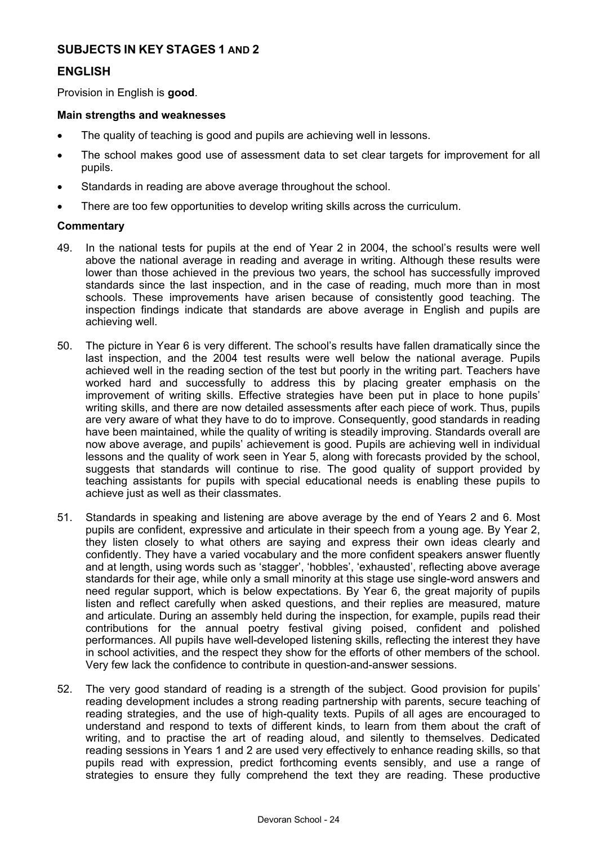# **SUBJECTS IN KEY STAGES 1 AND 2**

## **ENGLISH**

Provision in English is **good**.

#### **Main strengths and weaknesses**

- The quality of teaching is good and pupils are achieving well in lessons.
- The school makes good use of assessment data to set clear targets for improvement for all pupils.
- Standards in reading are above average throughout the school.
- There are too few opportunities to develop writing skills across the curriculum.

#### **Commentary**

- 49. In the national tests for pupils at the end of Year 2 in 2004, the school's results were well above the national average in reading and average in writing. Although these results were lower than those achieved in the previous two years, the school has successfully improved standards since the last inspection, and in the case of reading, much more than in most schools. These improvements have arisen because of consistently good teaching. The inspection findings indicate that standards are above average in English and pupils are achieving well.
- 50. The picture in Year 6 is very different. The school's results have fallen dramatically since the last inspection, and the 2004 test results were well below the national average. Pupils achieved well in the reading section of the test but poorly in the writing part. Teachers have worked hard and successfully to address this by placing greater emphasis on the improvement of writing skills. Effective strategies have been put in place to hone pupils' writing skills, and there are now detailed assessments after each piece of work. Thus, pupils are very aware of what they have to do to improve. Consequently, good standards in reading have been maintained, while the quality of writing is steadily improving. Standards overall are now above average, and pupils' achievement is good. Pupils are achieving well in individual lessons and the quality of work seen in Year 5, along with forecasts provided by the school, suggests that standards will continue to rise. The good quality of support provided by teaching assistants for pupils with special educational needs is enabling these pupils to achieve just as well as their classmates.
- 51. Standards in speaking and listening are above average by the end of Years 2 and 6. Most pupils are confident, expressive and articulate in their speech from a young age. By Year 2, they listen closely to what others are saying and express their own ideas clearly and confidently. They have a varied vocabulary and the more confident speakers answer fluently and at length, using words such as 'stagger', 'hobbles', 'exhausted', reflecting above average standards for their age, while only a small minority at this stage use single-word answers and need regular support, which is below expectations. By Year 6, the great majority of pupils listen and reflect carefully when asked questions, and their replies are measured, mature and articulate. During an assembly held during the inspection, for example, pupils read their contributions for the annual poetry festival giving poised, confident and polished performances. All pupils have well-developed listening skills, reflecting the interest they have in school activities, and the respect they show for the efforts of other members of the school. Very few lack the confidence to contribute in question-and-answer sessions.
- 52. The very good standard of reading is a strength of the subject. Good provision for pupils' reading development includes a strong reading partnership with parents, secure teaching of reading strategies, and the use of high-quality texts. Pupils of all ages are encouraged to understand and respond to texts of different kinds, to learn from them about the craft of writing, and to practise the art of reading aloud, and silently to themselves. Dedicated reading sessions in Years 1 and 2 are used very effectively to enhance reading skills, so that pupils read with expression, predict forthcoming events sensibly, and use a range of strategies to ensure they fully comprehend the text they are reading. These productive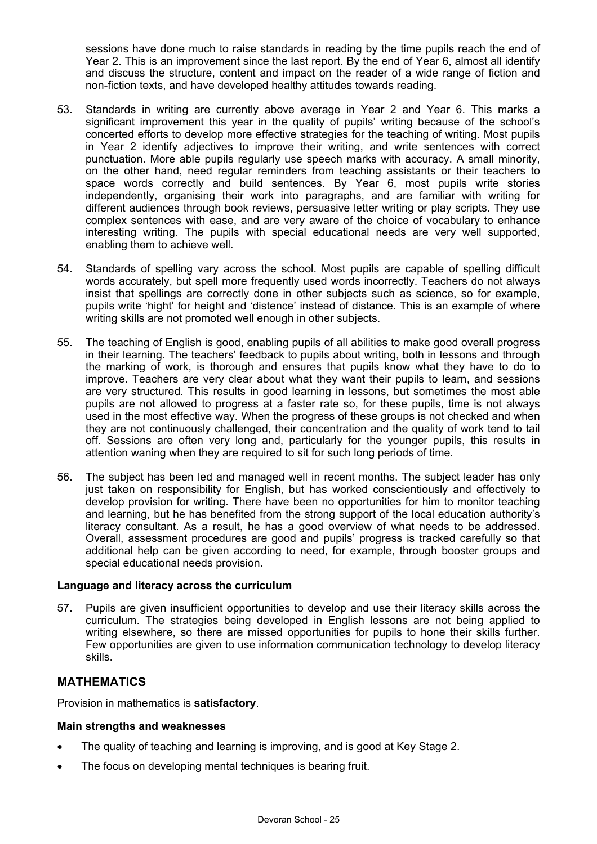sessions have done much to raise standards in reading by the time pupils reach the end of Year 2. This is an improvement since the last report. By the end of Year 6, almost all identify and discuss the structure, content and impact on the reader of a wide range of fiction and non-fiction texts, and have developed healthy attitudes towards reading.

- 53. Standards in writing are currently above average in Year 2 and Year 6. This marks a significant improvement this year in the quality of pupils' writing because of the school's concerted efforts to develop more effective strategies for the teaching of writing. Most pupils in Year 2 identify adjectives to improve their writing, and write sentences with correct punctuation. More able pupils regularly use speech marks with accuracy. A small minority, on the other hand, need regular reminders from teaching assistants or their teachers to space words correctly and build sentences. By Year 6, most pupils write stories independently, organising their work into paragraphs, and are familiar with writing for different audiences through book reviews, persuasive letter writing or play scripts. They use complex sentences with ease, and are very aware of the choice of vocabulary to enhance interesting writing. The pupils with special educational needs are very well supported, enabling them to achieve well.
- 54. Standards of spelling vary across the school. Most pupils are capable of spelling difficult words accurately, but spell more frequently used words incorrectly. Teachers do not always insist that spellings are correctly done in other subjects such as science, so for example, pupils write 'hight' for height and 'distence' instead of distance. This is an example of where writing skills are not promoted well enough in other subjects.
- 55. The teaching of English is good, enabling pupils of all abilities to make good overall progress in their learning. The teachers' feedback to pupils about writing, both in lessons and through the marking of work, is thorough and ensures that pupils know what they have to do to improve. Teachers are very clear about what they want their pupils to learn, and sessions are very structured. This results in good learning in lessons, but sometimes the most able pupils are not allowed to progress at a faster rate so, for these pupils, time is not always used in the most effective way. When the progress of these groups is not checked and when they are not continuously challenged, their concentration and the quality of work tend to tail off. Sessions are often very long and, particularly for the younger pupils, this results in attention waning when they are required to sit for such long periods of time.
- 56. The subject has been led and managed well in recent months. The subject leader has only just taken on responsibility for English, but has worked conscientiously and effectively to develop provision for writing. There have been no opportunities for him to monitor teaching and learning, but he has benefited from the strong support of the local education authority's literacy consultant. As a result, he has a good overview of what needs to be addressed. Overall, assessment procedures are good and pupils' progress is tracked carefully so that additional help can be given according to need, for example, through booster groups and special educational needs provision.

#### **Language and literacy across the curriculum**

57. Pupils are given insufficient opportunities to develop and use their literacy skills across the curriculum. The strategies being developed in English lessons are not being applied to writing elsewhere, so there are missed opportunities for pupils to hone their skills further. Few opportunities are given to use information communication technology to develop literacy skills.

# **MATHEMATICS**

Provision in mathematics is **satisfactory**.

### **Main strengths and weaknesses**

- The quality of teaching and learning is improving, and is good at Key Stage 2.
- The focus on developing mental techniques is bearing fruit.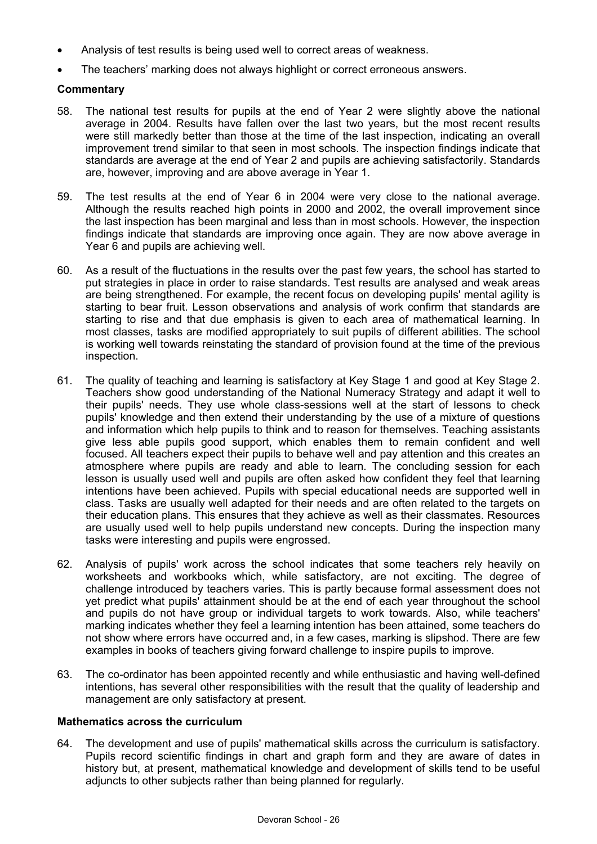- Analysis of test results is being used well to correct areas of weakness.
- The teachers' marking does not always highlight or correct erroneous answers.

### **Commentary**

- 58. The national test results for pupils at the end of Year 2 were slightly above the national average in 2004. Results have fallen over the last two years, but the most recent results were still markedly better than those at the time of the last inspection, indicating an overall improvement trend similar to that seen in most schools. The inspection findings indicate that standards are average at the end of Year 2 and pupils are achieving satisfactorily. Standards are, however, improving and are above average in Year 1.
- 59. The test results at the end of Year 6 in 2004 were very close to the national average. Although the results reached high points in 2000 and 2002, the overall improvement since the last inspection has been marginal and less than in most schools. However, the inspection findings indicate that standards are improving once again. They are now above average in Year  $\overline{6}$  and pupils are achieving well.
- 60. As a result of the fluctuations in the results over the past few years, the school has started to put strategies in place in order to raise standards. Test results are analysed and weak areas are being strengthened. For example, the recent focus on developing pupils' mental agility is starting to bear fruit. Lesson observations and analysis of work confirm that standards are starting to rise and that due emphasis is given to each area of mathematical learning. In most classes, tasks are modified appropriately to suit pupils of different abilities. The school is working well towards reinstating the standard of provision found at the time of the previous inspection.
- 61. The quality of teaching and learning is satisfactory at Key Stage 1 and good at Key Stage 2. Teachers show good understanding of the National Numeracy Strategy and adapt it well to their pupils' needs. They use whole class-sessions well at the start of lessons to check pupils' knowledge and then extend their understanding by the use of a mixture of questions and information which help pupils to think and to reason for themselves. Teaching assistants give less able pupils good support, which enables them to remain confident and well focused. All teachers expect their pupils to behave well and pay attention and this creates an atmosphere where pupils are ready and able to learn. The concluding session for each lesson is usually used well and pupils are often asked how confident they feel that learning intentions have been achieved. Pupils with special educational needs are supported well in class. Tasks are usually well adapted for their needs and are often related to the targets on their education plans. This ensures that they achieve as well as their classmates. Resources are usually used well to help pupils understand new concepts. During the inspection many tasks were interesting and pupils were engrossed.
- 62. Analysis of pupils' work across the school indicates that some teachers rely heavily on worksheets and workbooks which, while satisfactory, are not exciting. The degree of challenge introduced by teachers varies. This is partly because formal assessment does not yet predict what pupils' attainment should be at the end of each year throughout the school and pupils do not have group or individual targets to work towards. Also, while teachers' marking indicates whether they feel a learning intention has been attained, some teachers do not show where errors have occurred and, in a few cases, marking is slipshod. There are few examples in books of teachers giving forward challenge to inspire pupils to improve.
- 63. The co-ordinator has been appointed recently and while enthusiastic and having well-defined intentions, has several other responsibilities with the result that the quality of leadership and management are only satisfactory at present.

# **Mathematics across the curriculum**

64. The development and use of pupils' mathematical skills across the curriculum is satisfactory. Pupils record scientific findings in chart and graph form and they are aware of dates in history but, at present, mathematical knowledge and development of skills tend to be useful adjuncts to other subjects rather than being planned for regularly.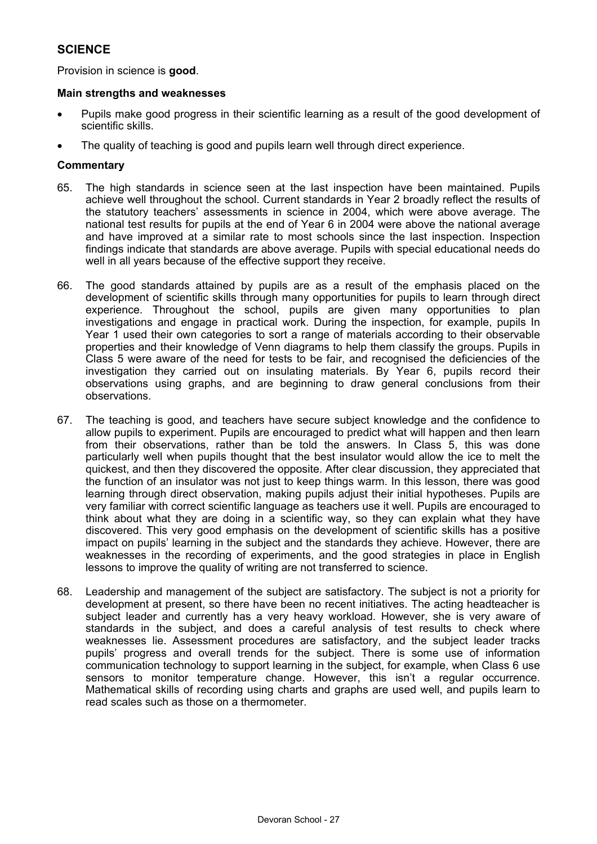# **SCIENCE**

Provision in science is **good**.

#### **Main strengths and weaknesses**

- Pupils make good progress in their scientific learning as a result of the good development of scientific skills.
- The quality of teaching is good and pupils learn well through direct experience.

### **Commentary**

- 65. The high standards in science seen at the last inspection have been maintained. Pupils achieve well throughout the school. Current standards in Year 2 broadly reflect the results of the statutory teachers' assessments in science in 2004, which were above average. The national test results for pupils at the end of Year 6 in 2004 were above the national average and have improved at a similar rate to most schools since the last inspection. Inspection findings indicate that standards are above average. Pupils with special educational needs do well in all years because of the effective support they receive.
- 66. The good standards attained by pupils are as a result of the emphasis placed on the development of scientific skills through many opportunities for pupils to learn through direct experience. Throughout the school, pupils are given many opportunities to plan investigations and engage in practical work. During the inspection, for example, pupils In Year 1 used their own categories to sort a range of materials according to their observable properties and their knowledge of Venn diagrams to help them classify the groups. Pupils in Class 5 were aware of the need for tests to be fair, and recognised the deficiencies of the investigation they carried out on insulating materials. By Year 6, pupils record their observations using graphs, and are beginning to draw general conclusions from their observations.
- 67. The teaching is good, and teachers have secure subject knowledge and the confidence to allow pupils to experiment. Pupils are encouraged to predict what will happen and then learn from their observations, rather than be told the answers. In Class 5, this was done particularly well when pupils thought that the best insulator would allow the ice to melt the quickest, and then they discovered the opposite. After clear discussion, they appreciated that the function of an insulator was not just to keep things warm. In this lesson, there was good learning through direct observation, making pupils adjust their initial hypotheses. Pupils are very familiar with correct scientific language as teachers use it well. Pupils are encouraged to think about what they are doing in a scientific way, so they can explain what they have discovered. This very good emphasis on the development of scientific skills has a positive impact on pupils' learning in the subject and the standards they achieve. However, there are weaknesses in the recording of experiments, and the good strategies in place in English lessons to improve the quality of writing are not transferred to science.
- 68. Leadership and management of the subject are satisfactory. The subject is not a priority for development at present, so there have been no recent initiatives. The acting headteacher is subject leader and currently has a very heavy workload. However, she is very aware of standards in the subject, and does a careful analysis of test results to check where weaknesses lie. Assessment procedures are satisfactory, and the subject leader tracks pupils' progress and overall trends for the subject. There is some use of information communication technology to support learning in the subject, for example, when Class 6 use sensors to monitor temperature change. However, this isn't a regular occurrence. Mathematical skills of recording using charts and graphs are used well, and pupils learn to read scales such as those on a thermometer.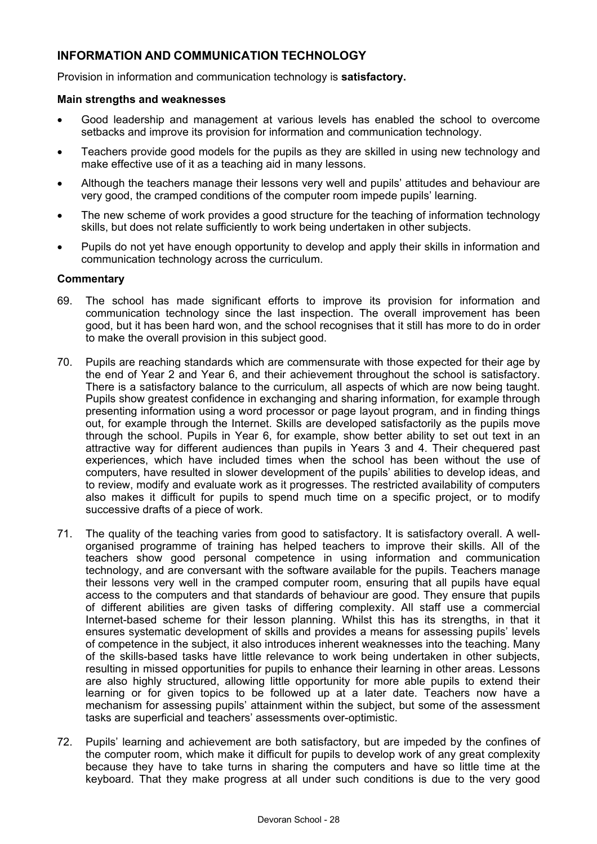# **INFORMATION AND COMMUNICATION TECHNOLOGY**

Provision in information and communication technology is **satisfactory.** 

#### **Main strengths and weaknesses**

- Good leadership and management at various levels has enabled the school to overcome setbacks and improve its provision for information and communication technology.
- Teachers provide good models for the pupils as they are skilled in using new technology and make effective use of it as a teaching aid in many lessons.
- Although the teachers manage their lessons very well and pupils' attitudes and behaviour are very good, the cramped conditions of the computer room impede pupils' learning.
- The new scheme of work provides a good structure for the teaching of information technology skills, but does not relate sufficiently to work being undertaken in other subjects.
- Pupils do not yet have enough opportunity to develop and apply their skills in information and communication technology across the curriculum.

#### **Commentary**

- 69. The school has made significant efforts to improve its provision for information and communication technology since the last inspection. The overall improvement has been good, but it has been hard won, and the school recognises that it still has more to do in order to make the overall provision in this subject good.
- 70. Pupils are reaching standards which are commensurate with those expected for their age by the end of Year 2 and Year 6, and their achievement throughout the school is satisfactory. There is a satisfactory balance to the curriculum, all aspects of which are now being taught. Pupils show greatest confidence in exchanging and sharing information, for example through presenting information using a word processor or page layout program, and in finding things out, for example through the Internet. Skills are developed satisfactorily as the pupils move through the school. Pupils in Year 6, for example, show better ability to set out text in an attractive way for different audiences than pupils in Years 3 and 4. Their chequered past experiences, which have included times when the school has been without the use of computers, have resulted in slower development of the pupils' abilities to develop ideas, and to review, modify and evaluate work as it progresses. The restricted availability of computers also makes it difficult for pupils to spend much time on a specific project, or to modify successive drafts of a piece of work.
- 71. The quality of the teaching varies from good to satisfactory. It is satisfactory overall. A wellorganised programme of training has helped teachers to improve their skills. All of the teachers show good personal competence in using information and communication technology, and are conversant with the software available for the pupils. Teachers manage their lessons very well in the cramped computer room, ensuring that all pupils have equal access to the computers and that standards of behaviour are good. They ensure that pupils of different abilities are given tasks of differing complexity. All staff use a commercial Internet-based scheme for their lesson planning. Whilst this has its strengths, in that it ensures systematic development of skills and provides a means for assessing pupils' levels of competence in the subject, it also introduces inherent weaknesses into the teaching. Many of the skills-based tasks have little relevance to work being undertaken in other subjects, resulting in missed opportunities for pupils to enhance their learning in other areas. Lessons are also highly structured, allowing little opportunity for more able pupils to extend their learning or for given topics to be followed up at a later date. Teachers now have a mechanism for assessing pupils' attainment within the subject, but some of the assessment tasks are superficial and teachers' assessments over-optimistic.
- 72. Pupils' learning and achievement are both satisfactory, but are impeded by the confines of the computer room, which make it difficult for pupils to develop work of any great complexity because they have to take turns in sharing the computers and have so little time at the keyboard. That they make progress at all under such conditions is due to the very good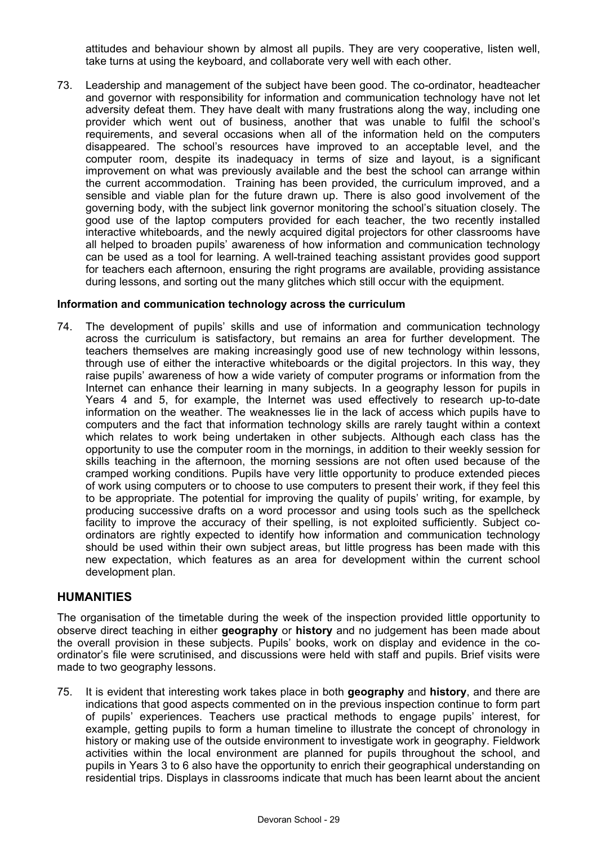attitudes and behaviour shown by almost all pupils. They are very cooperative, listen well, take turns at using the keyboard, and collaborate very well with each other.

73. Leadership and management of the subject have been good. The co-ordinator, headteacher and governor with responsibility for information and communication technology have not let adversity defeat them. They have dealt with many frustrations along the way, including one provider which went out of business, another that was unable to fulfil the school's requirements, and several occasions when all of the information held on the computers disappeared. The school's resources have improved to an acceptable level, and the computer room, despite its inadequacy in terms of size and layout, is a significant improvement on what was previously available and the best the school can arrange within the current accommodation. Training has been provided, the curriculum improved, and a sensible and viable plan for the future drawn up. There is also good involvement of the governing body, with the subject link governor monitoring the school's situation closely. The good use of the laptop computers provided for each teacher, the two recently installed interactive whiteboards, and the newly acquired digital projectors for other classrooms have all helped to broaden pupils' awareness of how information and communication technology can be used as a tool for learning. A well-trained teaching assistant provides good support for teachers each afternoon, ensuring the right programs are available, providing assistance during lessons, and sorting out the many glitches which still occur with the equipment.

#### **Information and communication technology across the curriculum**

74. The development of pupils' skills and use of information and communication technology across the curriculum is satisfactory, but remains an area for further development. The teachers themselves are making increasingly good use of new technology within lessons, through use of either the interactive whiteboards or the digital projectors. In this way, they raise pupils' awareness of how a wide variety of computer programs or information from the Internet can enhance their learning in many subjects. In a geography lesson for pupils in Years 4 and 5, for example, the Internet was used effectively to research up-to-date information on the weather. The weaknesses lie in the lack of access which pupils have to computers and the fact that information technology skills are rarely taught within a context which relates to work being undertaken in other subjects. Although each class has the opportunity to use the computer room in the mornings, in addition to their weekly session for skills teaching in the afternoon, the morning sessions are not often used because of the cramped working conditions. Pupils have very little opportunity to produce extended pieces of work using computers or to choose to use computers to present their work, if they feel this to be appropriate. The potential for improving the quality of pupils' writing, for example, by producing successive drafts on a word processor and using tools such as the spellcheck facility to improve the accuracy of their spelling, is not exploited sufficiently. Subject coordinators are rightly expected to identify how information and communication technology should be used within their own subject areas, but little progress has been made with this new expectation, which features as an area for development within the current school development plan.

### **HUMANITIES**

The organisation of the timetable during the week of the inspection provided little opportunity to observe direct teaching in either **geography** or **history** and no judgement has been made about the overall provision in these subjects. Pupils' books, work on display and evidence in the coordinator's file were scrutinised, and discussions were held with staff and pupils. Brief visits were made to two geography lessons.

75. It is evident that interesting work takes place in both **geography** and **history**, and there are indications that good aspects commented on in the previous inspection continue to form part of pupils' experiences. Teachers use practical methods to engage pupils' interest, for example, getting pupils to form a human timeline to illustrate the concept of chronology in history or making use of the outside environment to investigate work in geography. Fieldwork activities within the local environment are planned for pupils throughout the school, and pupils in Years 3 to 6 also have the opportunity to enrich their geographical understanding on residential trips. Displays in classrooms indicate that much has been learnt about the ancient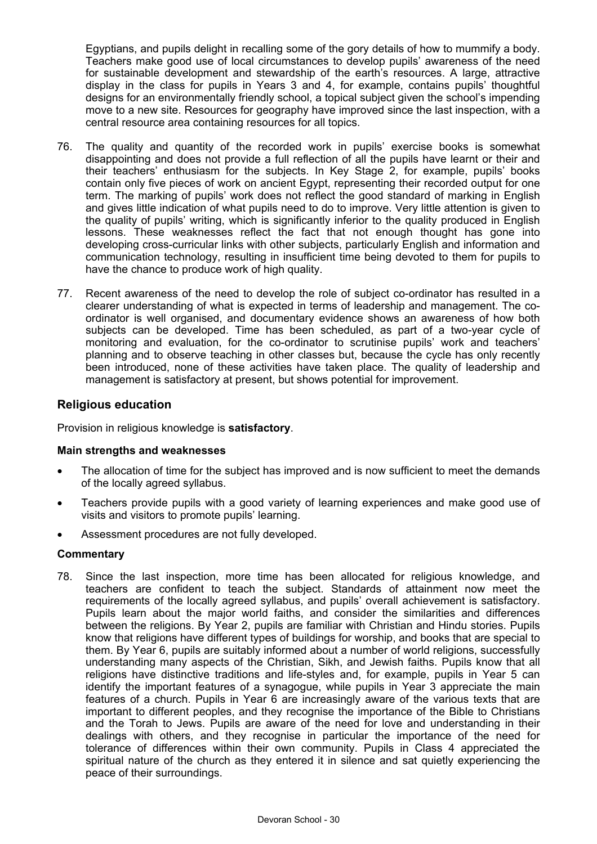Egyptians, and pupils delight in recalling some of the gory details of how to mummify a body. Teachers make good use of local circumstances to develop pupils' awareness of the need for sustainable development and stewardship of the earth's resources. A large, attractive display in the class for pupils in Years 3 and 4, for example, contains pupils' thoughtful designs for an environmentally friendly school, a topical subject given the school's impending move to a new site. Resources for geography have improved since the last inspection, with a central resource area containing resources for all topics.

- 76. The quality and quantity of the recorded work in pupils' exercise books is somewhat disappointing and does not provide a full reflection of all the pupils have learnt or their and their teachers' enthusiasm for the subjects. In Key Stage 2, for example, pupils' books contain only five pieces of work on ancient Egypt, representing their recorded output for one term. The marking of pupils' work does not reflect the good standard of marking in English and gives little indication of what pupils need to do to improve. Very little attention is given to the quality of pupils' writing, which is significantly inferior to the quality produced in English lessons. These weaknesses reflect the fact that not enough thought has gone into developing cross-curricular links with other subjects, particularly English and information and communication technology, resulting in insufficient time being devoted to them for pupils to have the chance to produce work of high quality.
- 77. Recent awareness of the need to develop the role of subject co-ordinator has resulted in a clearer understanding of what is expected in terms of leadership and management. The coordinator is well organised, and documentary evidence shows an awareness of how both subjects can be developed. Time has been scheduled, as part of a two-year cycle of monitoring and evaluation, for the co-ordinator to scrutinise pupils' work and teachers' planning and to observe teaching in other classes but, because the cycle has only recently been introduced, none of these activities have taken place. The quality of leadership and management is satisfactory at present, but shows potential for improvement.

### **Religious education**

Provision in religious knowledge is **satisfactory**.

#### **Main strengths and weaknesses**

- The allocation of time for the subject has improved and is now sufficient to meet the demands of the locally agreed syllabus.
- Teachers provide pupils with a good variety of learning experiences and make good use of visits and visitors to promote pupils' learning.
- Assessment procedures are not fully developed.

#### **Commentary**

78. Since the last inspection, more time has been allocated for religious knowledge, and teachers are confident to teach the subject. Standards of attainment now meet the requirements of the locally agreed syllabus, and pupils' overall achievement is satisfactory. Pupils learn about the major world faiths, and consider the similarities and differences between the religions. By Year 2, pupils are familiar with Christian and Hindu stories. Pupils know that religions have different types of buildings for worship, and books that are special to them. By Year 6, pupils are suitably informed about a number of world religions, successfully understanding many aspects of the Christian, Sikh, and Jewish faiths. Pupils know that all religions have distinctive traditions and life-styles and, for example, pupils in Year 5 can identify the important features of a synagogue, while pupils in Year 3 appreciate the main features of a church. Pupils in Year 6 are increasingly aware of the various texts that are important to different peoples, and they recognise the importance of the Bible to Christians and the Torah to Jews. Pupils are aware of the need for love and understanding in their dealings with others, and they recognise in particular the importance of the need for tolerance of differences within their own community. Pupils in Class 4 appreciated the spiritual nature of the church as they entered it in silence and sat quietly experiencing the peace of their surroundings.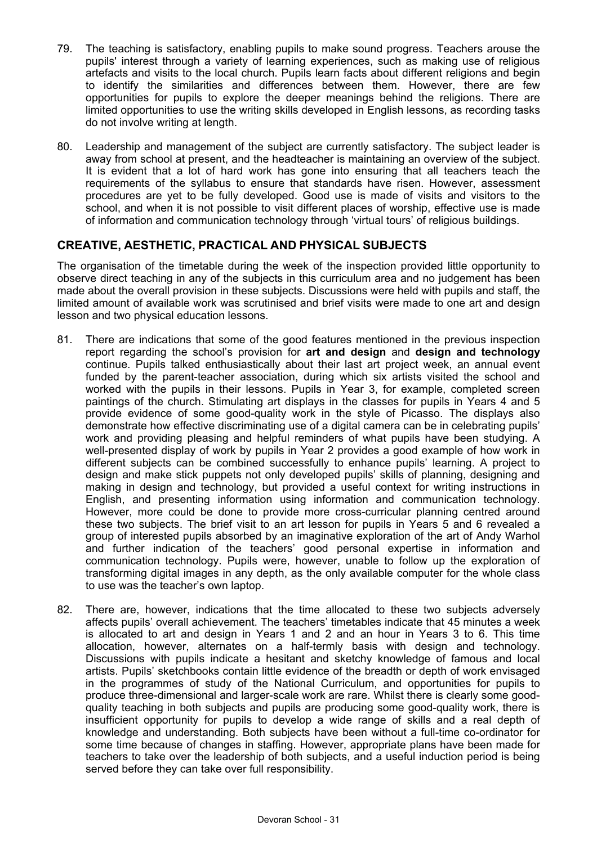- 79. The teaching is satisfactory, enabling pupils to make sound progress. Teachers arouse the pupils' interest through a variety of learning experiences, such as making use of religious artefacts and visits to the local church. Pupils learn facts about different religions and begin to identify the similarities and differences between them. However, there are few opportunities for pupils to explore the deeper meanings behind the religions. There are limited opportunities to use the writing skills developed in English lessons, as recording tasks do not involve writing at length.
- 80. Leadership and management of the subject are currently satisfactory. The subject leader is away from school at present, and the headteacher is maintaining an overview of the subject. It is evident that a lot of hard work has gone into ensuring that all teachers teach the requirements of the syllabus to ensure that standards have risen. However, assessment procedures are yet to be fully developed. Good use is made of visits and visitors to the school, and when it is not possible to visit different places of worship, effective use is made of information and communication technology through 'virtual tours' of religious buildings.

## **CREATIVE, AESTHETIC, PRACTICAL AND PHYSICAL SUBJECTS**

The organisation of the timetable during the week of the inspection provided little opportunity to observe direct teaching in any of the subjects in this curriculum area and no judgement has been made about the overall provision in these subjects. Discussions were held with pupils and staff, the limited amount of available work was scrutinised and brief visits were made to one art and design lesson and two physical education lessons.

- 81. There are indications that some of the good features mentioned in the previous inspection report regarding the school's provision for **art and design** and **design and technology**  continue. Pupils talked enthusiastically about their last art project week, an annual event funded by the parent-teacher association, during which six artists visited the school and worked with the pupils in their lessons. Pupils in Year 3, for example, completed screen paintings of the church. Stimulating art displays in the classes for pupils in Years 4 and 5 provide evidence of some good-quality work in the style of Picasso. The displays also demonstrate how effective discriminating use of a digital camera can be in celebrating pupils' work and providing pleasing and helpful reminders of what pupils have been studying. A well-presented display of work by pupils in Year 2 provides a good example of how work in different subjects can be combined successfully to enhance pupils' learning. A project to design and make stick puppets not only developed pupils' skills of planning, designing and making in design and technology, but provided a useful context for writing instructions in English, and presenting information using information and communication technology. However, more could be done to provide more cross-curricular planning centred around these two subjects. The brief visit to an art lesson for pupils in Years 5 and 6 revealed a group of interested pupils absorbed by an imaginative exploration of the art of Andy Warhol and further indication of the teachers' good personal expertise in information and communication technology. Pupils were, however, unable to follow up the exploration of transforming digital images in any depth, as the only available computer for the whole class to use was the teacher's own laptop.
- 82. There are, however, indications that the time allocated to these two subjects adversely affects pupils' overall achievement. The teachers' timetables indicate that 45 minutes a week is allocated to art and design in Years 1 and 2 and an hour in Years 3 to 6. This time allocation, however, alternates on a half-termly basis with design and technology. Discussions with pupils indicate a hesitant and sketchy knowledge of famous and local artists. Pupils' sketchbooks contain little evidence of the breadth or depth of work envisaged in the programmes of study of the National Curriculum, and opportunities for pupils to produce three-dimensional and larger-scale work are rare. Whilst there is clearly some goodquality teaching in both subjects and pupils are producing some good-quality work, there is insufficient opportunity for pupils to develop a wide range of skills and a real depth of knowledge and understanding. Both subjects have been without a full-time co-ordinator for some time because of changes in staffing. However, appropriate plans have been made for teachers to take over the leadership of both subjects, and a useful induction period is being served before they can take over full responsibility.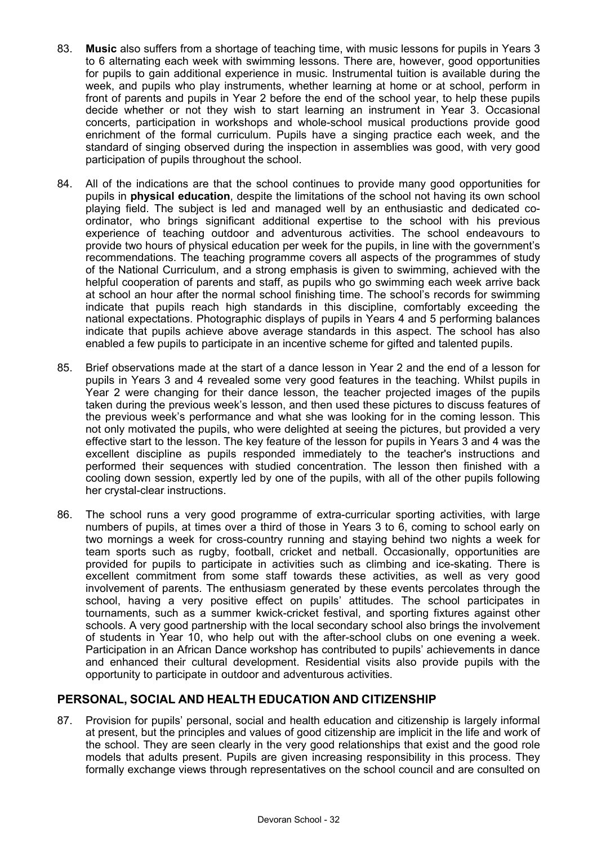- 83. **Music** also suffers from a shortage of teaching time, with music lessons for pupils in Years 3 to 6 alternating each week with swimming lessons. There are, however, good opportunities for pupils to gain additional experience in music. Instrumental tuition is available during the week, and pupils who play instruments, whether learning at home or at school, perform in front of parents and pupils in Year 2 before the end of the school year, to help these pupils decide whether or not they wish to start learning an instrument in Year 3. Occasional concerts, participation in workshops and whole-school musical productions provide good enrichment of the formal curriculum. Pupils have a singing practice each week, and the standard of singing observed during the inspection in assemblies was good, with very good participation of pupils throughout the school.
- 84. All of the indications are that the school continues to provide many good opportunities for pupils in **physical education**, despite the limitations of the school not having its own school playing field. The subject is led and managed well by an enthusiastic and dedicated coordinator, who brings significant additional expertise to the school with his previous experience of teaching outdoor and adventurous activities. The school endeavours to provide two hours of physical education per week for the pupils, in line with the government's recommendations. The teaching programme covers all aspects of the programmes of study of the National Curriculum, and a strong emphasis is given to swimming, achieved with the helpful cooperation of parents and staff, as pupils who go swimming each week arrive back at school an hour after the normal school finishing time. The school's records for swimming indicate that pupils reach high standards in this discipline, comfortably exceeding the national expectations. Photographic displays of pupils in Years 4 and 5 performing balances indicate that pupils achieve above average standards in this aspect. The school has also enabled a few pupils to participate in an incentive scheme for gifted and talented pupils.
- 85. Brief observations made at the start of a dance lesson in Year 2 and the end of a lesson for pupils in Years 3 and 4 revealed some very good features in the teaching. Whilst pupils in Year 2 were changing for their dance lesson, the teacher projected images of the pupils taken during the previous week's lesson, and then used these pictures to discuss features of the previous week's performance and what she was looking for in the coming lesson. This not only motivated the pupils, who were delighted at seeing the pictures, but provided a very effective start to the lesson. The key feature of the lesson for pupils in Years 3 and 4 was the excellent discipline as pupils responded immediately to the teacher's instructions and performed their sequences with studied concentration. The lesson then finished with a cooling down session, expertly led by one of the pupils, with all of the other pupils following her crystal-clear instructions.
- 86. The school runs a very good programme of extra-curricular sporting activities, with large numbers of pupils, at times over a third of those in Years 3 to 6, coming to school early on two mornings a week for cross-country running and staying behind two nights a week for team sports such as rugby, football, cricket and netball. Occasionally, opportunities are provided for pupils to participate in activities such as climbing and ice-skating. There is excellent commitment from some staff towards these activities, as well as very good involvement of parents. The enthusiasm generated by these events percolates through the school, having a very positive effect on pupils' attitudes. The school participates in tournaments, such as a summer kwick-cricket festival, and sporting fixtures against other schools. A very good partnership with the local secondary school also brings the involvement of students in Year 10, who help out with the after-school clubs on one evening a week. Participation in an African Dance workshop has contributed to pupils' achievements in dance and enhanced their cultural development. Residential visits also provide pupils with the opportunity to participate in outdoor and adventurous activities.

# **PERSONAL, SOCIAL AND HEALTH EDUCATION AND CITIZENSHIP**

87. Provision for pupils' personal, social and health education and citizenship is largely informal at present, but the principles and values of good citizenship are implicit in the life and work of the school. They are seen clearly in the very good relationships that exist and the good role models that adults present. Pupils are given increasing responsibility in this process. They formally exchange views through representatives on the school council and are consulted on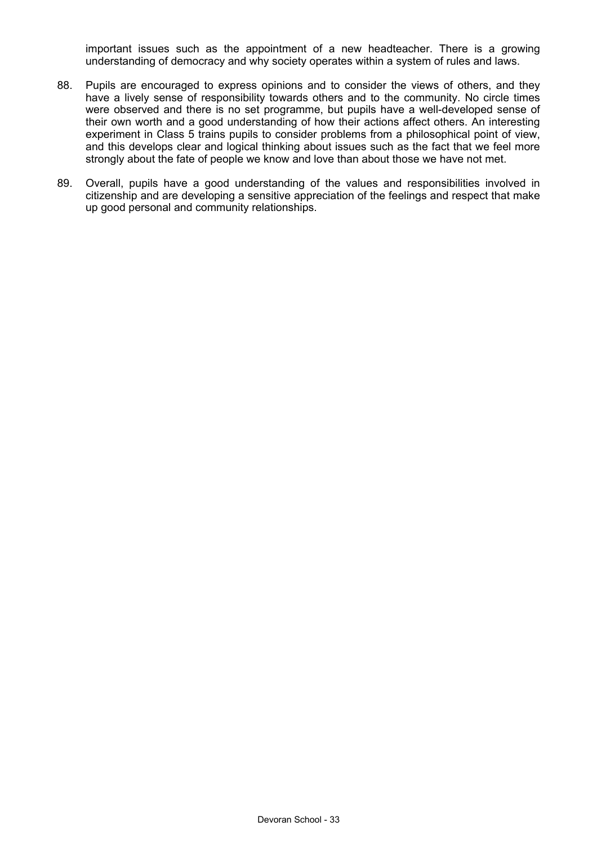important issues such as the appointment of a new headteacher. There is a growing understanding of democracy and why society operates within a system of rules and laws.

- 88. Pupils are encouraged to express opinions and to consider the views of others, and they have a lively sense of responsibility towards others and to the community. No circle times were observed and there is no set programme, but pupils have a well-developed sense of their own worth and a good understanding of how their actions affect others. An interesting experiment in Class 5 trains pupils to consider problems from a philosophical point of view, and this develops clear and logical thinking about issues such as the fact that we feel more strongly about the fate of people we know and love than about those we have not met.
- 89. Overall, pupils have a good understanding of the values and responsibilities involved in citizenship and are developing a sensitive appreciation of the feelings and respect that make up good personal and community relationships.